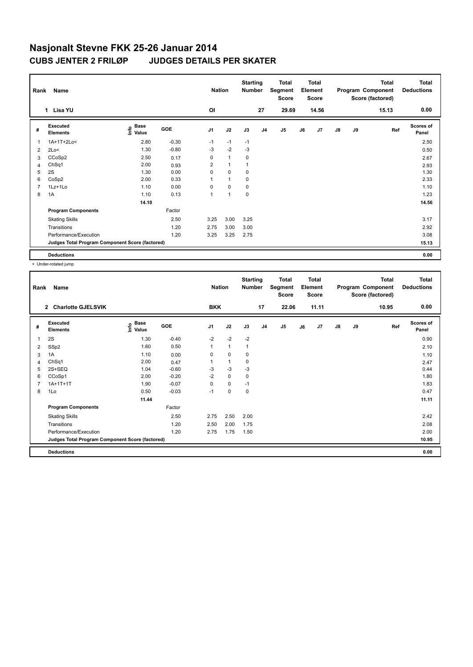| Rank           | Name                                            |                              |            | <b>Nation</b>  |              | <b>Starting</b><br><b>Number</b> |                | <b>Total</b><br>Segment<br><b>Score</b> |    | <b>Total</b><br>Element<br><b>Score</b> |               |    | Total<br>Program Component<br>Score (factored) | <b>Total</b><br><b>Deductions</b> |
|----------------|-------------------------------------------------|------------------------------|------------|----------------|--------------|----------------------------------|----------------|-----------------------------------------|----|-----------------------------------------|---------------|----|------------------------------------------------|-----------------------------------|
|                | 1 Lisa YU                                       |                              |            | OI             |              |                                  | 27             | 29.69                                   |    | 14.56                                   |               |    | 15.13                                          | 0.00                              |
| #              | Executed<br><b>Elements</b>                     | <b>Base</b><br>Info<br>Value | <b>GOE</b> | J <sub>1</sub> | J2           | J3                               | J <sub>4</sub> | J5                                      | J6 | J <sub>7</sub>                          | $\mathsf{J}8$ | J9 | Ref                                            | <b>Scores of</b><br>Panel         |
| $\overline{1}$ | 1A+1T+2Lo<                                      | 2.80                         | $-0.30$    | $-1$           | $-1$         | $-1$                             |                |                                         |    |                                         |               |    |                                                | 2.50                              |
| 2              | 2Lo<                                            | 1.30                         | $-0.80$    | $-3$           | $-2$         | $-3$                             |                |                                         |    |                                         |               |    |                                                | 0.50                              |
| 3              | CCoSp2                                          | 2.50                         | 0.17       | 0              | $\mathbf{1}$ | 0                                |                |                                         |    |                                         |               |    |                                                | 2.67                              |
| 4              | ChSq1                                           | 2.00                         | 0.93       | $\overline{2}$ | $\mathbf{1}$ |                                  |                |                                         |    |                                         |               |    |                                                | 2.93                              |
| 5              | 2S                                              | 1.30                         | 0.00       | 0              | $\mathbf 0$  | $\mathbf 0$                      |                |                                         |    |                                         |               |    |                                                | 1.30                              |
| 6              | CoSp2                                           | 2.00                         | 0.33       | 1              | $\mathbf{1}$ | 0                                |                |                                         |    |                                         |               |    |                                                | 2.33                              |
| $\overline{7}$ | $1Lz+1Lo$                                       | 1.10                         | 0.00       | 0              | $\mathbf 0$  | 0                                |                |                                         |    |                                         |               |    |                                                | 1.10                              |
| 8              | 1A                                              | 1.10                         | 0.13       | 1              | 1            | 0                                |                |                                         |    |                                         |               |    |                                                | 1.23                              |
|                |                                                 | 14.10                        |            |                |              |                                  |                |                                         |    |                                         |               |    |                                                | 14.56                             |
|                | <b>Program Components</b>                       |                              | Factor     |                |              |                                  |                |                                         |    |                                         |               |    |                                                |                                   |
|                | <b>Skating Skills</b>                           |                              | 2.50       | 3.25           | 3.00         | 3.25                             |                |                                         |    |                                         |               |    |                                                | 3.17                              |
|                | Transitions                                     |                              | 1.20       | 2.75           | 3.00         | 3.00                             |                |                                         |    |                                         |               |    |                                                | 2.92                              |
|                | Performance/Execution                           |                              | 1.20       | 3.25           | 3.25         | 2.75                             |                |                                         |    |                                         |               |    |                                                | 3.08                              |
|                | Judges Total Program Component Score (factored) |                              |            |                |              |                                  |                |                                         |    |                                         |               |    |                                                | 15.13                             |
|                | <b>Deductions</b>                               |                              |            |                |              |                                  |                |                                         |    |                                         |               |    |                                                | 0.00                              |

< Under-rotated jump

| Rank | Name                                            |                                    |         | <b>Nation</b>  |              | <b>Starting</b><br><b>Number</b> |                | <b>Total</b><br>Segment<br><b>Score</b> |    | <b>Total</b><br>Element<br><b>Score</b> |               |    | <b>Total</b><br>Program Component<br>Score (factored) | Total<br><b>Deductions</b> |
|------|-------------------------------------------------|------------------------------------|---------|----------------|--------------|----------------------------------|----------------|-----------------------------------------|----|-----------------------------------------|---------------|----|-------------------------------------------------------|----------------------------|
|      | <b>Charlotte GJELSVIK</b><br>$\overline{2}$     |                                    |         | <b>BKK</b>     |              |                                  | 17             | 22.06                                   |    | 11.11                                   |               |    | 10.95                                                 | 0.00                       |
| #    | Executed<br><b>Elements</b>                     | <b>Base</b><br>$\frac{e}{E}$ Value | GOE     | J <sub>1</sub> | J2           | J3                               | J <sub>4</sub> | J <sub>5</sub>                          | J6 | J7                                      | $\mathsf{J}8$ | J9 | Ref                                                   | <b>Scores of</b><br>Panel  |
| 1    | 2S                                              | 1.30                               | $-0.40$ | $-2$           | $-2$         | $-2$                             |                |                                         |    |                                         |               |    |                                                       | 0.90                       |
| 2    | SSp2                                            | 1.60                               | 0.50    | 1              | $\mathbf{1}$ | $\mathbf{1}$                     |                |                                         |    |                                         |               |    |                                                       | 2.10                       |
| 3    | 1A                                              | 1.10                               | 0.00    | 0              | $\pmb{0}$    | 0                                |                |                                         |    |                                         |               |    |                                                       | 1.10                       |
| 4    | ChSq1                                           | 2.00                               | 0.47    | $\mathbf{1}$   | $\mathbf{1}$ | 0                                |                |                                         |    |                                         |               |    |                                                       | 2.47                       |
| 5    | $2S+SEQ$                                        | 1.04                               | $-0.60$ | $-3$           | $-3$         | -3                               |                |                                         |    |                                         |               |    |                                                       | 0.44                       |
| 6    | CCoSp1                                          | 2.00                               | $-0.20$ | $-2$           | $\mathbf 0$  | 0                                |                |                                         |    |                                         |               |    |                                                       | 1.80                       |
| 7    | $1A+1T+1T$                                      | 1.90                               | $-0.07$ | 0              | $\mathbf 0$  | $-1$                             |                |                                         |    |                                         |               |    |                                                       | 1.83                       |
| 8    | 1Lo                                             | 0.50                               | $-0.03$ | $-1$           | $\pmb{0}$    | 0                                |                |                                         |    |                                         |               |    |                                                       | 0.47                       |
|      |                                                 | 11.44                              |         |                |              |                                  |                |                                         |    |                                         |               |    |                                                       | 11.11                      |
|      | <b>Program Components</b>                       |                                    | Factor  |                |              |                                  |                |                                         |    |                                         |               |    |                                                       |                            |
|      | <b>Skating Skills</b>                           |                                    | 2.50    | 2.75           | 2.50         | 2.00                             |                |                                         |    |                                         |               |    |                                                       | 2.42                       |
|      | Transitions                                     |                                    | 1.20    | 2.50           | 2.00         | 1.75                             |                |                                         |    |                                         |               |    |                                                       | 2.08                       |
|      | Performance/Execution                           |                                    | 1.20    | 2.75           | 1.75         | 1.50                             |                |                                         |    |                                         |               |    |                                                       | 2.00                       |
|      | Judges Total Program Component Score (factored) |                                    |         |                |              |                                  |                |                                         |    |                                         |               |    |                                                       | 10.95                      |
|      | <b>Deductions</b>                               |                                    |         |                |              |                                  |                |                                         |    |                                         |               |    |                                                       | 0.00                       |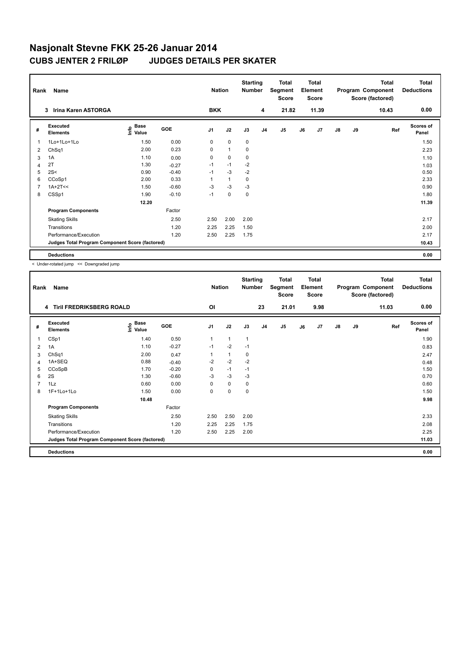| Rank           | Name                                            |                           |            | <b>Nation</b>  |              | <b>Starting</b><br><b>Number</b> |                | <b>Total</b><br>Segment<br><b>Score</b> |    | <b>Total</b><br>Element<br><b>Score</b> |               |    | <b>Total</b><br>Program Component<br>Score (factored) | <b>Total</b><br><b>Deductions</b> |
|----------------|-------------------------------------------------|---------------------------|------------|----------------|--------------|----------------------------------|----------------|-----------------------------------------|----|-----------------------------------------|---------------|----|-------------------------------------------------------|-----------------------------------|
|                | Irina Karen ASTORGA<br>3                        |                           |            | <b>BKK</b>     |              |                                  | 4              | 21.82                                   |    | 11.39                                   |               |    | 10.43                                                 | 0.00                              |
| #              | Executed<br><b>Elements</b>                     | Base<br>e Base<br>⊆ Value | <b>GOE</b> | J <sub>1</sub> | J2           | J3                               | J <sub>4</sub> | J5                                      | J6 | J <sub>7</sub>                          | $\mathsf{J}8$ | J9 | Ref                                                   | Scores of<br>Panel                |
| 1              | 1Lo+1Lo+1Lo                                     | 1.50                      | 0.00       | $\mathbf 0$    | $\mathbf 0$  | $\mathbf 0$                      |                |                                         |    |                                         |               |    |                                                       | 1.50                              |
| 2              | ChSq1                                           | 2.00                      | 0.23       | 0              | $\mathbf{1}$ | $\mathbf 0$                      |                |                                         |    |                                         |               |    |                                                       | 2.23                              |
| 3              | 1A                                              | 1.10                      | 0.00       | 0              | 0            | 0                                |                |                                         |    |                                         |               |    |                                                       | 1.10                              |
| $\overline{4}$ | 2T                                              | 1.30                      | $-0.27$    | $-1$           | $-1$         | $-2$                             |                |                                         |    |                                         |               |    |                                                       | 1.03                              |
| 5              | 2S<                                             | 0.90                      | $-0.40$    | $-1$           | $-3$         | $-2$                             |                |                                         |    |                                         |               |    |                                                       | 0.50                              |
| 6              | CCoSp1                                          | 2.00                      | 0.33       |                | $\mathbf{1}$ | $\mathbf 0$                      |                |                                         |    |                                         |               |    |                                                       | 2.33                              |
|                | $1A+2T<<$                                       | 1.50                      | $-0.60$    | -3             | $-3$         | -3                               |                |                                         |    |                                         |               |    |                                                       | 0.90                              |
| 8              | CSSp1                                           | 1.90                      | $-0.10$    | $-1$           | $\mathbf 0$  | $\mathbf 0$                      |                |                                         |    |                                         |               |    |                                                       | 1.80                              |
|                |                                                 | 12.20                     |            |                |              |                                  |                |                                         |    |                                         |               |    |                                                       | 11.39                             |
|                | <b>Program Components</b>                       |                           | Factor     |                |              |                                  |                |                                         |    |                                         |               |    |                                                       |                                   |
|                | <b>Skating Skills</b>                           |                           | 2.50       | 2.50           | 2.00         | 2.00                             |                |                                         |    |                                         |               |    |                                                       | 2.17                              |
|                | Transitions                                     |                           | 1.20       | 2.25           | 2.25         | 1.50                             |                |                                         |    |                                         |               |    |                                                       | 2.00                              |
|                | Performance/Execution                           |                           | 1.20       | 2.50           | 2.25         | 1.75                             |                |                                         |    |                                         |               |    |                                                       | 2.17                              |
|                | Judges Total Program Component Score (factored) |                           |            |                |              |                                  |                |                                         |    |                                         |               |    |                                                       | 10.43                             |
|                | <b>Deductions</b>                               |                           |            |                |              |                                  |                |                                         |    |                                         |               |    |                                                       | 0.00                              |

< Under-rotated jump << Downgraded jump

| Rank           | Name                                            |                                  |         | <b>Nation</b>  |              | <b>Starting</b><br>Number |                | <b>Total</b><br>Segment<br><b>Score</b> |    | <b>Total</b><br>Element<br><b>Score</b> |               |    | <b>Total</b><br>Program Component<br>Score (factored) | <b>Total</b><br><b>Deductions</b> |
|----------------|-------------------------------------------------|----------------------------------|---------|----------------|--------------|---------------------------|----------------|-----------------------------------------|----|-----------------------------------------|---------------|----|-------------------------------------------------------|-----------------------------------|
|                | 4 Tiril FREDRIKSBERG ROALD                      |                                  |         | OI             |              |                           | 23             | 21.01                                   |    | 9.98                                    |               |    | 11.03                                                 | 0.00                              |
| #              | Executed<br><b>Elements</b>                     | <b>Base</b><br>e Base<br>⊆ Value | GOE     | J <sub>1</sub> | J2           | J3                        | J <sub>4</sub> | J5                                      | J6 | J7                                      | $\mathsf{J}8$ | J9 | Ref                                                   | <b>Scores of</b><br>Panel         |
| 1              | CSp1                                            | 1.40                             | 0.50    | 1              | $\mathbf{1}$ | 1                         |                |                                         |    |                                         |               |    |                                                       | 1.90                              |
| 2              | 1A                                              | 1.10                             | $-0.27$ | $-1$           | $-2$         | $-1$                      |                |                                         |    |                                         |               |    |                                                       | 0.83                              |
| 3              | ChSq1                                           | 2.00                             | 0.47    | 1              | $\mathbf{1}$ | 0                         |                |                                         |    |                                         |               |    |                                                       | 2.47                              |
| 4              | 1A+SEQ                                          | 0.88                             | $-0.40$ | $-2$           | $-2$         | $-2$                      |                |                                         |    |                                         |               |    |                                                       | 0.48                              |
| 5              | CCoSpB                                          | 1.70                             | $-0.20$ | 0              | $-1$         | $-1$                      |                |                                         |    |                                         |               |    |                                                       | 1.50                              |
| 6              | 2S                                              | 1.30                             | $-0.60$ | -3             | $-3$         | -3                        |                |                                         |    |                                         |               |    |                                                       | 0.70                              |
| $\overline{7}$ | 1Lz                                             | 0.60                             | 0.00    | 0              | 0            | 0                         |                |                                         |    |                                         |               |    |                                                       | 0.60                              |
| 8              | 1F+1Lo+1Lo                                      | 1.50                             | 0.00    | 0              | $\pmb{0}$    | 0                         |                |                                         |    |                                         |               |    |                                                       | 1.50                              |
|                |                                                 | 10.48                            |         |                |              |                           |                |                                         |    |                                         |               |    |                                                       | 9.98                              |
|                | <b>Program Components</b>                       |                                  | Factor  |                |              |                           |                |                                         |    |                                         |               |    |                                                       |                                   |
|                | <b>Skating Skills</b>                           |                                  | 2.50    | 2.50           | 2.50         | 2.00                      |                |                                         |    |                                         |               |    |                                                       | 2.33                              |
|                | Transitions                                     |                                  | 1.20    | 2.25           | 2.25         | 1.75                      |                |                                         |    |                                         |               |    |                                                       | 2.08                              |
|                | Performance/Execution                           |                                  | 1.20    | 2.50           | 2.25         | 2.00                      |                |                                         |    |                                         |               |    |                                                       | 2.25                              |
|                | Judges Total Program Component Score (factored) |                                  |         |                |              |                           |                |                                         |    |                                         |               |    |                                                       | 11.03                             |
|                | <b>Deductions</b>                               |                                  |         |                |              |                           |                |                                         |    |                                         |               |    |                                                       | 0.00                              |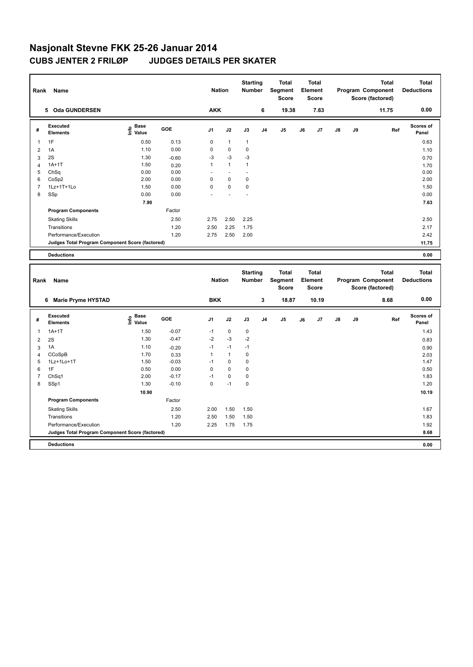| Rank           | Name                                            |                                  |         | <b>Nation</b>  |              | <b>Starting</b><br>Number        |                | <b>Total</b><br>Segment<br><b>Score</b>        |    | <b>Total</b><br>Element<br><b>Score</b> |    |    | <b>Total</b><br>Program Component<br>Score (factored) | <b>Total</b><br><b>Deductions</b> |
|----------------|-------------------------------------------------|----------------------------------|---------|----------------|--------------|----------------------------------|----------------|------------------------------------------------|----|-----------------------------------------|----|----|-------------------------------------------------------|-----------------------------------|
|                | 5 Oda GUNDERSEN                                 |                                  |         | <b>AKK</b>     |              |                                  | 6              | 19.38                                          |    | 7.63                                    |    |    | 11.75                                                 | 0.00                              |
| #              | <b>Executed</b><br><b>Elements</b>              | <b>Base</b><br>e Base<br>⊆ Value | GOE     | J <sub>1</sub> | J2           | J3                               | J <sub>4</sub> | J5                                             | J6 | J7                                      | J8 | J9 | Ref                                                   | <b>Scores of</b><br>Panel         |
| 1              | 1F                                              | 0.50                             | 0.13    | 0              | $\mathbf{1}$ | $\mathbf{1}$                     |                |                                                |    |                                         |    |    |                                                       | 0.63                              |
| $\overline{2}$ | 1A                                              | 1.10                             | 0.00    | 0              | $\mathbf 0$  | 0                                |                |                                                |    |                                         |    |    |                                                       | 1.10                              |
| 3              | 2S                                              | 1.30                             | $-0.60$ | $-3$           | $-3$         | $-3$                             |                |                                                |    |                                         |    |    |                                                       | 0.70                              |
| 4              | $1A+1T$                                         | 1.50                             | 0.20    | 1              | $\mathbf{1}$ | $\mathbf{1}$                     |                |                                                |    |                                         |    |    |                                                       | 1.70                              |
| 5              | ChSq                                            | 0.00                             | 0.00    | l,             | ÷,           | L,                               |                |                                                |    |                                         |    |    |                                                       | 0.00                              |
| 6              | CoSp2                                           | 2.00                             | 0.00    | 0              | 0            | 0                                |                |                                                |    |                                         |    |    |                                                       | 2.00                              |
| $\overline{7}$ | 1Lz+1T+1Lo                                      | 1.50                             | 0.00    | 0              | $\pmb{0}$    | $\pmb{0}$                        |                |                                                |    |                                         |    |    |                                                       | 1.50                              |
| 8              | SSp                                             | 0.00                             | 0.00    |                |              |                                  |                |                                                |    |                                         |    |    |                                                       | 0.00                              |
|                |                                                 | 7.90                             |         |                |              |                                  |                |                                                |    |                                         |    |    |                                                       | 7.63                              |
|                | <b>Program Components</b>                       |                                  | Factor  |                |              |                                  |                |                                                |    |                                         |    |    |                                                       |                                   |
|                | <b>Skating Skills</b>                           |                                  | 2.50    | 2.75           | 2.50         | 2.25                             |                |                                                |    |                                         |    |    |                                                       | 2.50                              |
|                | Transitions                                     |                                  | 1.20    | 2.50           | 2.25         | 1.75                             |                |                                                |    |                                         |    |    |                                                       | 2.17                              |
|                | Performance/Execution                           |                                  | 1.20    | 2.75           | 2.50         | 2.00                             |                |                                                |    |                                         |    |    |                                                       | 2.42                              |
|                | Judges Total Program Component Score (factored) |                                  |         |                |              |                                  |                |                                                |    |                                         |    |    |                                                       | 11.75                             |
|                | <b>Deductions</b>                               |                                  |         |                |              |                                  |                |                                                |    |                                         |    |    |                                                       | 0.00                              |
|                |                                                 |                                  |         |                |              |                                  |                |                                                |    |                                         |    |    |                                                       |                                   |
| Rank           | Name                                            |                                  |         | <b>Nation</b>  |              | <b>Starting</b><br><b>Number</b> |                | <b>Total</b><br><b>Segment</b><br><b>Score</b> |    | <b>Total</b><br>Element<br><b>Score</b> |    |    | <b>Total</b><br>Program Component<br>Score (factored) | <b>Total</b><br><b>Deductions</b> |
|                | 6 Marie Pryme HYSTAD                            |                                  |         | <b>BKK</b>     |              |                                  | 3              | 18.87                                          |    | 10.19                                   |    |    | 8.68                                                  | 0.00                              |
| #              | <b>Executed</b><br><b>Elements</b>              | <b>Base</b><br>e Base<br>⊆ Value | GOE     | J <sub>1</sub> | J2           | J3                               | J <sub>4</sub> | J5                                             | J6 | J7                                      | J8 | J9 | Ref                                                   | <b>Scores of</b><br>Panel         |
| 1              | $1A+1T$                                         | 1.50                             | $-0.07$ | $-1$           | $\mathbf 0$  | $\mathbf 0$                      |                |                                                |    |                                         |    |    |                                                       | 1.43                              |
| $\overline{2}$ | 2S                                              | 1.30                             | $-0.47$ | $-2$           | $-3$         | $-2$                             |                |                                                |    |                                         |    |    |                                                       | 0.83                              |
| 3              | 1A                                              | 1.10                             | $-0.20$ | $-1$           | $-1$         | $-1$                             |                |                                                |    |                                         |    |    |                                                       | 0.90                              |
| 4              | CCoSpB                                          | 1.70                             | 0.33    | 1              | $\mathbf{1}$ | 0                                |                |                                                |    |                                         |    |    |                                                       | 2.03                              |
| 5              | 1Lz+1Lo+1T                                      | 1.50                             | $-0.03$ | $-1$           | $\mathbf 0$  | 0                                |                |                                                |    |                                         |    |    |                                                       | 1.47                              |
| 6              | 1F                                              | 0.50                             | 0.00    | 0              | 0            | 0                                |                |                                                |    |                                         |    |    |                                                       | 0.50                              |
| $\overline{7}$ | ChSq1                                           | 2.00                             | $-0.17$ | $-1$           | $\pmb{0}$    | 0                                |                |                                                |    |                                         |    |    |                                                       | 1.83                              |
| 8              | SSp1                                            | 1.30                             | $-0.10$ | 0              | $-1$         | 0                                |                |                                                |    |                                         |    |    |                                                       | 1.20                              |
|                |                                                 | 10.90                            |         |                |              |                                  |                |                                                |    |                                         |    |    |                                                       | 10.19                             |
|                | <b>Program Components</b>                       |                                  | Factor  |                |              |                                  |                |                                                |    |                                         |    |    |                                                       |                                   |
|                | <b>Skating Skills</b>                           |                                  | 2.50    | 2.00           | 1.50         | 1.50                             |                |                                                |    |                                         |    |    |                                                       | 1.67                              |
|                | Transitions                                     |                                  | 1.20    | 2.50           | 1.50         | 1.50                             |                |                                                |    |                                         |    |    |                                                       | 1.83                              |
|                | Performance/Execution                           |                                  | 1.20    | 2.25           | 1.75         | 1.75                             |                |                                                |    |                                         |    |    |                                                       | 1.92                              |
|                | Judges Total Program Component Score (factored) |                                  |         |                |              |                                  |                |                                                |    |                                         |    |    |                                                       | 8.68                              |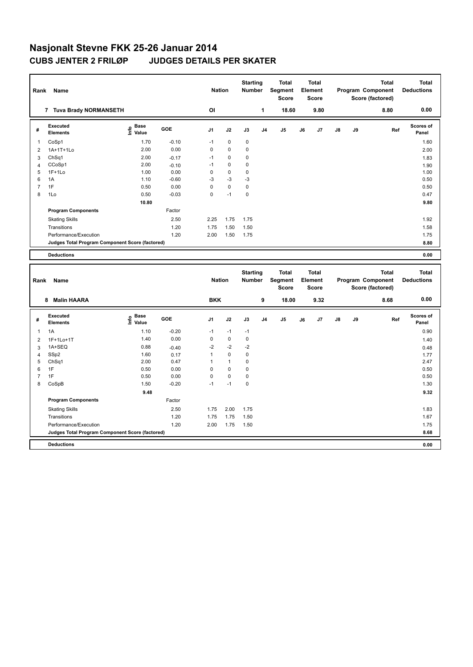| Rank           | Name                                            |                                  |         | <b>Nation</b>  |              | <b>Starting</b><br>Number        |                | <b>Total</b><br>Segment<br><b>Score</b>        |    | <b>Total</b><br>Element<br><b>Score</b> |    |    | <b>Total</b><br>Program Component<br>Score (factored) | <b>Total</b><br><b>Deductions</b> |
|----------------|-------------------------------------------------|----------------------------------|---------|----------------|--------------|----------------------------------|----------------|------------------------------------------------|----|-----------------------------------------|----|----|-------------------------------------------------------|-----------------------------------|
|                | 7 Tuva Brady NORMANSETH                         |                                  |         | OI             |              |                                  | 1              | 18.60                                          |    | 9.80                                    |    |    | 8.80                                                  | 0.00                              |
| #              | <b>Executed</b><br>Elements                     | <b>Base</b><br>e Base<br>⊆ Value | GOE     | J <sub>1</sub> | J2           | J3                               | J <sub>4</sub> | J5                                             | J6 | J7                                      | J8 | J9 | Ref                                                   | <b>Scores of</b><br>Panel         |
| 1              | CoSp1                                           | 1.70                             | $-0.10$ | $-1$           | $\mathbf 0$  | $\mathbf 0$                      |                |                                                |    |                                         |    |    |                                                       | 1.60                              |
| $\overline{2}$ | 1A+1T+1Lo                                       | 2.00                             | 0.00    | 0              | 0            | 0                                |                |                                                |    |                                         |    |    |                                                       | 2.00                              |
| 3              | ChSq1                                           | 2.00                             | $-0.17$ | $-1$           | $\mathbf 0$  | 0                                |                |                                                |    |                                         |    |    |                                                       | 1.83                              |
| $\overline{4}$ | CCoSp1                                          | 2.00                             | $-0.10$ | $-1$           | 0            | 0                                |                |                                                |    |                                         |    |    |                                                       | 1.90                              |
| 5              | $1F+1Lo$                                        | 1.00                             | 0.00    | 0              | $\mathbf 0$  | 0                                |                |                                                |    |                                         |    |    |                                                       | 1.00                              |
| 6              | 1A                                              | 1.10                             | $-0.60$ | $-3$           | $-3$         | $-3$                             |                |                                                |    |                                         |    |    |                                                       | 0.50                              |
| $\overline{7}$ | 1F                                              | 0.50                             | 0.00    | 0              | $\pmb{0}$    | $\pmb{0}$                        |                |                                                |    |                                         |    |    |                                                       | 0.50                              |
| 8              | 1Lo                                             | 0.50                             | $-0.03$ | 0              | $-1$         | 0                                |                |                                                |    |                                         |    |    |                                                       | 0.47                              |
|                |                                                 | 10.80                            |         |                |              |                                  |                |                                                |    |                                         |    |    |                                                       | 9.80                              |
|                | <b>Program Components</b>                       |                                  | Factor  |                |              |                                  |                |                                                |    |                                         |    |    |                                                       |                                   |
|                | <b>Skating Skills</b>                           |                                  | 2.50    | 2.25           | 1.75         | 1.75                             |                |                                                |    |                                         |    |    |                                                       | 1.92                              |
|                | Transitions                                     |                                  | 1.20    | 1.75           | 1.50         | 1.50                             |                |                                                |    |                                         |    |    |                                                       | 1.58                              |
|                | Performance/Execution                           |                                  | 1.20    | 2.00           | 1.50         | 1.75                             |                |                                                |    |                                         |    |    |                                                       | 1.75                              |
|                | Judges Total Program Component Score (factored) |                                  |         |                |              |                                  |                |                                                |    |                                         |    |    |                                                       | 8.80                              |
|                | <b>Deductions</b>                               |                                  |         |                |              |                                  |                |                                                |    |                                         |    |    |                                                       | 0.00                              |
|                |                                                 |                                  |         |                |              |                                  |                |                                                |    |                                         |    |    |                                                       |                                   |
| Rank           | Name                                            |                                  |         | <b>Nation</b>  |              | <b>Starting</b><br><b>Number</b> |                | <b>Total</b><br><b>Segment</b><br><b>Score</b> |    | <b>Total</b><br>Element<br><b>Score</b> |    |    | <b>Total</b><br>Program Component<br>Score (factored) | <b>Total</b><br><b>Deductions</b> |
|                | 8 Malin HAARA                                   |                                  |         | <b>BKK</b>     |              |                                  | 9              | 18.00                                          |    | 9.32                                    |    |    | 8.68                                                  | 0.00                              |
| #              | <b>Executed</b><br><b>Elements</b>              | <b>Base</b><br>e Base<br>∑ Value | GOE     | J <sub>1</sub> | J2           | J3                               | J <sub>4</sub> | J5                                             | J6 | J7                                      | J8 | J9 | Ref                                                   | <b>Scores of</b><br>Panel         |
| 1              | 1A                                              | 1.10                             | $-0.20$ | $-1$           | $-1$         | $-1$                             |                |                                                |    |                                         |    |    |                                                       | 0.90                              |
| $\overline{2}$ | 1F+1Lo+1T                                       | 1.40                             | 0.00    | 0              | $\mathbf 0$  | 0                                |                |                                                |    |                                         |    |    |                                                       | 1.40                              |
| 3              | 1A+SEQ                                          | 0.88                             | $-0.40$ | $-2$           | $-2$         | $-2$                             |                |                                                |    |                                         |    |    |                                                       | 0.48                              |
| $\overline{4}$ | SSp2                                            | 1.60                             | 0.17    | 1              | $\pmb{0}$    | 0                                |                |                                                |    |                                         |    |    |                                                       | 1.77                              |
| 5              | ChSq1                                           | 2.00                             | 0.47    | 1              | $\mathbf{1}$ | 0                                |                |                                                |    |                                         |    |    |                                                       | 2.47                              |
| 6              | 1F                                              | 0.50                             | 0.00    | 0              | $\mathbf 0$  | 0                                |                |                                                |    |                                         |    |    |                                                       | 0.50                              |
| $\overline{7}$ | 1F                                              | 0.50                             | 0.00    | 0              | $\pmb{0}$    | 0                                |                |                                                |    |                                         |    |    |                                                       | 0.50                              |
| 8              | CoSpB                                           | 1.50                             | $-0.20$ | $-1$           | $-1$         | 0                                |                |                                                |    |                                         |    |    |                                                       | 1.30                              |
|                |                                                 | 9.48                             |         |                |              |                                  |                |                                                |    |                                         |    |    |                                                       | 9.32                              |
|                | <b>Program Components</b>                       |                                  | Factor  |                |              |                                  |                |                                                |    |                                         |    |    |                                                       |                                   |
|                | <b>Skating Skills</b>                           |                                  | 2.50    | 1.75           | 2.00         | 1.75                             |                |                                                |    |                                         |    |    |                                                       | 1.83                              |
|                | Transitions                                     |                                  | 1.20    | 1.75           | 1.75         | 1.50                             |                |                                                |    |                                         |    |    |                                                       | 1.67                              |
|                | Performance/Execution                           |                                  | 1.20    | 2.00           | 1.75         | 1.50                             |                |                                                |    |                                         |    |    |                                                       | 1.75                              |
|                | Judges Total Program Component Score (factored) |                                  |         |                |              |                                  |                |                                                |    |                                         |    |    |                                                       | 8.68                              |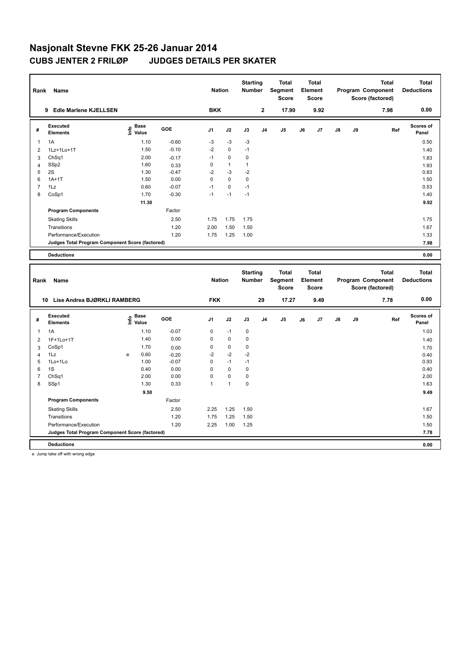| Rank                | Name                                            |                                           |                    | <b>Nation</b> |                   | <b>Starting</b><br><b>Number</b> |                | <b>Total</b><br>Segment<br><b>Score</b> |    | <b>Total</b><br>Element<br><b>Score</b> |    |    | <b>Total</b><br>Program Component<br>Score (factored) | <b>Total</b><br><b>Deductions</b> |
|---------------------|-------------------------------------------------|-------------------------------------------|--------------------|---------------|-------------------|----------------------------------|----------------|-----------------------------------------|----|-----------------------------------------|----|----|-------------------------------------------------------|-----------------------------------|
|                     | 9 Edle Marlene KJELLSEN                         |                                           |                    | <b>BKK</b>    |                   |                                  | $\mathbf 2$    | 17.90                                   |    | 9.92                                    |    |    | 7.98                                                  | 0.00                              |
| #                   | <b>Executed</b><br><b>Elements</b>              | $\frac{6}{5}$ Base<br>$\frac{6}{5}$ Value | <b>GOE</b>         | J1            | J2                | J3                               | J <sub>4</sub> | J5                                      | J6 | J7                                      | J8 | J9 | Ref                                                   | Scores of<br>Panel                |
| 1                   | 1A                                              | 1.10                                      | $-0.60$            | -3            | $-3$              | $-3$                             |                |                                         |    |                                         |    |    |                                                       | 0.50                              |
| $\overline{2}$      | 1Lz+1Lo+1T                                      | 1.50                                      | $-0.10$            | $-2$          | $\mathbf 0$       | $-1$                             |                |                                         |    |                                         |    |    |                                                       | 1.40                              |
| 3                   | ChSq1                                           | 2.00                                      | $-0.17$            | $-1$          | $\pmb{0}$         | $\pmb{0}$                        |                |                                         |    |                                         |    |    |                                                       | 1.83                              |
| $\overline{4}$      | SSp2                                            | 1.60                                      | 0.33               | $\pmb{0}$     | $\overline{1}$    | $\mathbf{1}$                     |                |                                         |    |                                         |    |    |                                                       | 1.93                              |
| 5                   | 2S                                              | 1.30                                      | $-0.47$            | $-2$          | $-3$              | $-2$                             |                |                                         |    |                                         |    |    |                                                       | 0.83                              |
| 6                   | $1A+1T$                                         | 1.50                                      | 0.00               | $\mathbf 0$   | $\mathbf 0$       | $\mathbf 0$                      |                |                                         |    |                                         |    |    |                                                       | 1.50                              |
| $\overline{7}$      | 1Lz                                             | 0.60                                      | $-0.07$            | $-1$          | $\pmb{0}$         | $-1$                             |                |                                         |    |                                         |    |    |                                                       | 0.53                              |
| 8                   | CoSp1                                           | 1.70                                      | $-0.30$            | $-1$          | $-1$              | $-1$                             |                |                                         |    |                                         |    |    |                                                       | 1.40                              |
|                     |                                                 | 11.30                                     |                    |               |                   |                                  |                |                                         |    |                                         |    |    |                                                       | 9.92                              |
|                     | <b>Program Components</b>                       |                                           | Factor             |               |                   |                                  |                |                                         |    |                                         |    |    |                                                       |                                   |
|                     | <b>Skating Skills</b>                           |                                           | 2.50               | 1.75          | 1.75              | 1.75                             |                |                                         |    |                                         |    |    |                                                       | 1.75                              |
|                     | Transitions                                     |                                           | 1.20               | 2.00          | 1.50              | 1.50                             |                |                                         |    |                                         |    |    |                                                       | 1.67                              |
|                     | Performance/Execution                           |                                           | 1.20               | 1.75          | 1.25              | 1.00                             |                |                                         |    |                                         |    |    |                                                       | 1.33                              |
|                     | Judges Total Program Component Score (factored) |                                           |                    |               |                   |                                  |                |                                         |    |                                         |    |    |                                                       | 7.98                              |
|                     | <b>Deductions</b>                               |                                           |                    |               |                   |                                  |                |                                         |    |                                         |    |    |                                                       | 0.00                              |
|                     |                                                 |                                           |                    |               |                   |                                  |                |                                         |    |                                         |    |    |                                                       |                                   |
| Rank                | Name                                            |                                           |                    | <b>Nation</b> |                   | <b>Starting</b><br>Number        |                | <b>Total</b><br>Segment<br><b>Score</b> |    | <b>Total</b><br>Element<br><b>Score</b> |    |    | <b>Total</b><br>Program Component<br>Score (factored) | <b>Total</b><br><b>Deductions</b> |
|                     | 10 Lise Andrea BJØRKLI RAMBERG                  |                                           |                    | <b>FKK</b>    |                   |                                  | 29             | 17.27                                   |    | 9.49                                    |    |    | 7.78                                                  | 0.00                              |
| #                   | <b>Executed</b><br><b>Elements</b>              | <b>Base</b><br>١m٥<br>Value               | <b>GOE</b>         | J1            | J2                | J3                               | J4             | J5                                      | J6 | J7                                      | J8 | J9 | Ref                                                   | Scores of<br>Panel                |
|                     |                                                 |                                           |                    |               |                   |                                  |                |                                         |    |                                         |    |    |                                                       |                                   |
| $\mathbf{1}$        | 1A                                              | 1.10                                      | $-0.07$            | $\mathbf 0$   | $-1$              | $\pmb{0}$                        |                |                                         |    |                                         |    |    |                                                       | 1.03                              |
| $\overline{2}$      | 1F+1Lo+1T                                       | 1.40                                      | 0.00               | $\mathsf 0$   | $\pmb{0}$         | $\pmb{0}$                        |                |                                         |    |                                         |    |    |                                                       | 1.40                              |
| 3                   | CoSp1<br>1Lz                                    | 1.70<br>0.60<br>e                         | 0.00               | 0<br>$-2$     | $\pmb{0}$<br>$-2$ | $\pmb{0}$<br>$-2$                |                |                                         |    |                                         |    |    |                                                       | 1.70                              |
| $\overline{4}$<br>5 | 1Lo+1Lo                                         | 1.00                                      | $-0.20$<br>$-0.07$ | $\pmb{0}$     | $-1$              | $-1$                             |                |                                         |    |                                         |    |    |                                                       | 0.40<br>0.93                      |
| 6                   | 1S                                              | 0.40                                      | 0.00               | $\mathbf 0$   | $\mathbf 0$       | $\mathbf 0$                      |                |                                         |    |                                         |    |    |                                                       | 0.40                              |
| $\overline{7}$      | ChSq1                                           | 2.00                                      | 0.00               | $\mathsf 0$   | $\pmb{0}$         | $\pmb{0}$                        |                |                                         |    |                                         |    |    |                                                       | 2.00                              |
| 8                   | SSp1                                            | 1.30                                      | 0.33               | $\mathbf{1}$  | $\overline{1}$    | $\mathbf 0$                      |                |                                         |    |                                         |    |    |                                                       | 1.63                              |
|                     |                                                 | 9.50                                      |                    |               |                   |                                  |                |                                         |    |                                         |    |    |                                                       | 9.49                              |
|                     | <b>Program Components</b>                       |                                           | Factor             |               |                   |                                  |                |                                         |    |                                         |    |    |                                                       |                                   |
|                     | <b>Skating Skills</b>                           |                                           | 2.50               | 2.25          | 1.25              | 1.50                             |                |                                         |    |                                         |    |    |                                                       | 1.67                              |
|                     | Transitions                                     |                                           | 1.20               | 1.75          | 1.25              | 1.50                             |                |                                         |    |                                         |    |    |                                                       | 1.50                              |
|                     | Performance/Execution                           |                                           | 1.20               | 2.25          | 1.00              | 1.25                             |                |                                         |    |                                         |    |    |                                                       | 1.50                              |
|                     | Judges Total Program Component Score (factored) |                                           |                    |               |                   |                                  |                |                                         |    |                                         |    |    |                                                       | 7.78                              |

e Jump take off with wrong edge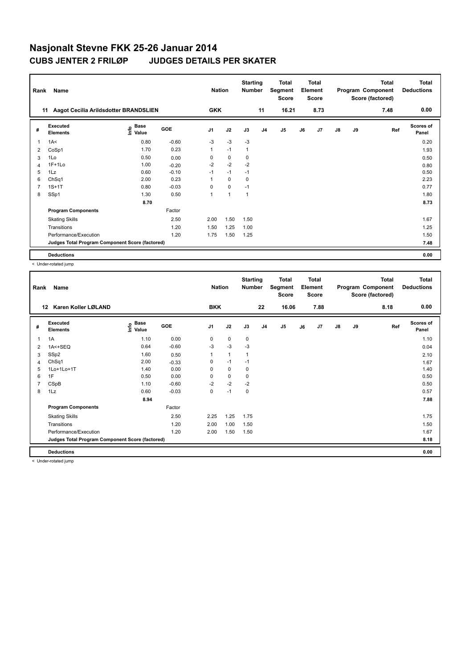| Rank           | Name                                            |                                           |         | <b>Nation</b> |              | <b>Starting</b><br><b>Number</b> |                | <b>Total</b><br>Segment<br><b>Score</b> |    | <b>Total</b><br>Element<br>Score |               |    | <b>Total</b><br>Program Component<br>Score (factored) | <b>Total</b><br><b>Deductions</b> |
|----------------|-------------------------------------------------|-------------------------------------------|---------|---------------|--------------|----------------------------------|----------------|-----------------------------------------|----|----------------------------------|---------------|----|-------------------------------------------------------|-----------------------------------|
| 11             | Aagot Cecilia Arildsdotter BRANDSLIEN           |                                           |         | <b>GKK</b>    |              |                                  | 11             | 16.21                                   |    | 8.73                             |               |    | 7.48                                                  | 0.00                              |
| #              | Executed<br><b>Elements</b>                     | $\frac{e}{E}$ Base<br>$\frac{e}{E}$ Value | GOE     | J1            | J2           | J3                               | J <sub>4</sub> | J5                                      | J6 | J7                               | $\mathsf{J}8$ | J9 | Ref                                                   | <b>Scores of</b><br>Panel         |
| 1              | 1A<                                             | 0.80                                      | $-0.60$ | $-3$          | $-3$         | $-3$                             |                |                                         |    |                                  |               |    |                                                       | 0.20                              |
| 2              | CoSp1                                           | 1.70                                      | 0.23    | 1             | $-1$         | $\mathbf{1}$                     |                |                                         |    |                                  |               |    |                                                       | 1.93                              |
| 3              | 1Lo                                             | 0.50                                      | 0.00    | 0             | 0            | 0                                |                |                                         |    |                                  |               |    |                                                       | 0.50                              |
| $\overline{4}$ | $1F+1Lo$                                        | 1.00                                      | $-0.20$ | $-2$          | $-2$         | $-2$                             |                |                                         |    |                                  |               |    |                                                       | 0.80                              |
| 5              | 1Lz                                             | 0.60                                      | $-0.10$ | $-1$          | $-1$         | $-1$                             |                |                                         |    |                                  |               |    |                                                       | 0.50                              |
| 6              | ChSq1                                           | 2.00                                      | 0.23    |               | $\mathbf 0$  | 0                                |                |                                         |    |                                  |               |    |                                                       | 2.23                              |
| $\overline{7}$ | $1S+1T$                                         | 0.80                                      | $-0.03$ | $\Omega$      | $\mathbf 0$  | $-1$                             |                |                                         |    |                                  |               |    |                                                       | 0.77                              |
| 8              | SSp1                                            | 1.30                                      | 0.50    | 1             | $\mathbf{1}$ | $\mathbf{1}$                     |                |                                         |    |                                  |               |    |                                                       | 1.80                              |
|                |                                                 | 8.70                                      |         |               |              |                                  |                |                                         |    |                                  |               |    |                                                       | 8.73                              |
|                | <b>Program Components</b>                       |                                           | Factor  |               |              |                                  |                |                                         |    |                                  |               |    |                                                       |                                   |
|                | <b>Skating Skills</b>                           |                                           | 2.50    | 2.00          | 1.50         | 1.50                             |                |                                         |    |                                  |               |    |                                                       | 1.67                              |
|                | Transitions                                     |                                           | 1.20    | 1.50          | 1.25         | 1.00                             |                |                                         |    |                                  |               |    |                                                       | 1.25                              |
|                | Performance/Execution                           |                                           | 1.20    | 1.75          | 1.50         | 1.25                             |                |                                         |    |                                  |               |    |                                                       | 1.50                              |
|                | Judges Total Program Component Score (factored) |                                           |         |               |              |                                  |                |                                         |    |                                  |               |    |                                                       | 7.48                              |
|                | <b>Deductions</b>                               |                                           |         |               |              |                                  |                |                                         |    |                                  |               |    |                                                       | 0.00                              |

< Under-rotated jump

| Rank           | Name                                            |                                    |            | <b>Nation</b>  |              | <b>Starting</b><br><b>Number</b> |                | <b>Total</b><br>Segment<br><b>Score</b> |    | <b>Total</b><br>Element<br><b>Score</b> |               |    | <b>Total</b><br>Program Component<br>Score (factored) | <b>Total</b><br><b>Deductions</b> |
|----------------|-------------------------------------------------|------------------------------------|------------|----------------|--------------|----------------------------------|----------------|-----------------------------------------|----|-----------------------------------------|---------------|----|-------------------------------------------------------|-----------------------------------|
| 12             | Karen Koller LØLAND                             |                                    |            | <b>BKK</b>     |              |                                  | 22             | 16.06                                   |    | 7.88                                    |               |    | 8.18                                                  | 0.00                              |
| #              | Executed<br><b>Elements</b>                     | <b>Base</b><br>$\frac{e}{E}$ Value | <b>GOE</b> | J <sub>1</sub> | J2           | J3                               | J <sub>4</sub> | J <sub>5</sub>                          | J6 | J7                                      | $\mathsf{J}8$ | J9 | Ref                                                   | <b>Scores of</b><br>Panel         |
| 1              | 1A                                              | 1.10                               | 0.00       | 0              | $\pmb{0}$    | $\mathbf 0$                      |                |                                         |    |                                         |               |    |                                                       | 1.10                              |
| $\overline{2}$ | 1A<+SEQ                                         | 0.64                               | $-0.60$    | -3             | $-3$         | -3                               |                |                                         |    |                                         |               |    |                                                       | 0.04                              |
| 3              | SSp2                                            | 1.60                               | 0.50       |                | $\mathbf{1}$ | $\mathbf{1}$                     |                |                                         |    |                                         |               |    |                                                       | 2.10                              |
| $\overline{4}$ | ChSq1                                           | 2.00                               | $-0.33$    | 0              | $-1$         | $-1$                             |                |                                         |    |                                         |               |    |                                                       | 1.67                              |
| 5              | 1Lo+1Lo+1T                                      | 1.40                               | 0.00       | 0              | $\mathbf 0$  | 0                                |                |                                         |    |                                         |               |    |                                                       | 1.40                              |
| 6              | 1F                                              | 0.50                               | 0.00       | 0              | $\pmb{0}$    | 0                                |                |                                         |    |                                         |               |    |                                                       | 0.50                              |
| $\overline{7}$ | CSpB                                            | 1.10                               | $-0.60$    | $-2$           | $-2$         | $-2$                             |                |                                         |    |                                         |               |    |                                                       | 0.50                              |
| 8              | 1Lz                                             | 0.60                               | $-0.03$    | 0              | $-1$         | 0                                |                |                                         |    |                                         |               |    |                                                       | 0.57                              |
|                |                                                 | 8.94                               |            |                |              |                                  |                |                                         |    |                                         |               |    |                                                       | 7.88                              |
|                | <b>Program Components</b>                       |                                    | Factor     |                |              |                                  |                |                                         |    |                                         |               |    |                                                       |                                   |
|                | <b>Skating Skills</b>                           |                                    | 2.50       | 2.25           | 1.25         | 1.75                             |                |                                         |    |                                         |               |    |                                                       | 1.75                              |
|                | Transitions                                     |                                    | 1.20       | 2.00           | 1.00         | 1.50                             |                |                                         |    |                                         |               |    |                                                       | 1.50                              |
|                | Performance/Execution                           |                                    | 1.20       | 2.00           | 1.50         | 1.50                             |                |                                         |    |                                         |               |    |                                                       | 1.67                              |
|                | Judges Total Program Component Score (factored) |                                    |            |                |              |                                  |                |                                         |    |                                         |               |    |                                                       | 8.18                              |
|                | <b>Deductions</b>                               |                                    |            |                |              |                                  |                |                                         |    |                                         |               |    |                                                       | 0.00                              |

< Under-rotated jump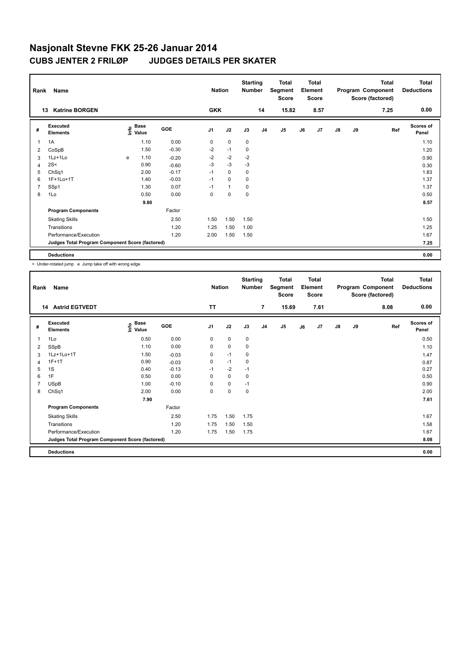| Rank           | Name                                            |   |                                    |         | <b>Nation</b>  |                | <b>Starting</b><br><b>Number</b> |                | <b>Total</b><br>Segment<br><b>Score</b> |    | <b>Total</b><br>Element<br><b>Score</b> |               |    | <b>Total</b><br>Program Component<br>Score (factored) | <b>Total</b><br><b>Deductions</b> |
|----------------|-------------------------------------------------|---|------------------------------------|---------|----------------|----------------|----------------------------------|----------------|-----------------------------------------|----|-----------------------------------------|---------------|----|-------------------------------------------------------|-----------------------------------|
| 13             | <b>Katrine BORGEN</b>                           |   |                                    |         | <b>GKK</b>     |                |                                  | 14             | 15.82                                   |    | 8.57                                    |               |    | 7.25                                                  | 0.00                              |
| #              | Executed<br><b>Elements</b>                     |   | <b>Base</b><br>$\frac{6}{5}$ Value | GOE     | J <sub>1</sub> | J2             | J3                               | J <sub>4</sub> | J <sub>5</sub>                          | J6 | J7                                      | $\mathsf{J}8$ | J9 | Ref                                                   | Scores of<br>Panel                |
| $\overline{1}$ | 1A                                              |   | 1.10                               | 0.00    | 0              | $\mathbf 0$    | $\mathbf 0$                      |                |                                         |    |                                         |               |    |                                                       | 1.10                              |
| 2              | CoSpB                                           |   | 1.50                               | $-0.30$ | $-2$           | $-1$           | 0                                |                |                                         |    |                                         |               |    |                                                       | 1.20                              |
| 3              | $1Lz+1Lo$                                       | e | 1.10                               | $-0.20$ | $-2$           | $-2$           | $-2$                             |                |                                         |    |                                         |               |    |                                                       | 0.90                              |
| 4              | 2S<                                             |   | 0.90                               | $-0.60$ | $-3$           | $-3$           | $-3$                             |                |                                         |    |                                         |               |    |                                                       | 0.30                              |
| 5              | ChSq1                                           |   | 2.00                               | $-0.17$ | $-1$           | $\mathbf 0$    | 0                                |                |                                         |    |                                         |               |    |                                                       | 1.83                              |
| 6              | 1F+1Lo+1T                                       |   | 1.40                               | $-0.03$ | $-1$           | $\Omega$       | 0                                |                |                                         |    |                                         |               |    |                                                       | 1.37                              |
| 7              | SSp1                                            |   | 1.30                               | 0.07    | $-1$           | $\overline{1}$ | 0                                |                |                                         |    |                                         |               |    |                                                       | 1.37                              |
| 8              | 1Lo                                             |   | 0.50                               | 0.00    | 0              | $\mathbf 0$    | 0                                |                |                                         |    |                                         |               |    |                                                       | 0.50                              |
|                |                                                 |   | 9.80                               |         |                |                |                                  |                |                                         |    |                                         |               |    |                                                       | 8.57                              |
|                | <b>Program Components</b>                       |   |                                    | Factor  |                |                |                                  |                |                                         |    |                                         |               |    |                                                       |                                   |
|                | <b>Skating Skills</b>                           |   |                                    | 2.50    | 1.50           | 1.50           | 1.50                             |                |                                         |    |                                         |               |    |                                                       | 1.50                              |
|                | Transitions                                     |   |                                    | 1.20    | 1.25           | 1.50           | 1.00                             |                |                                         |    |                                         |               |    |                                                       | 1.25                              |
|                | Performance/Execution                           |   |                                    | 1.20    | 2.00           | 1.50           | 1.50                             |                |                                         |    |                                         |               |    |                                                       | 1.67                              |
|                | Judges Total Program Component Score (factored) |   |                                    |         |                |                |                                  |                |                                         |    |                                         |               |    |                                                       | 7.25                              |
|                | <b>Deductions</b>                               |   |                                    |         |                |                |                                  |                |                                         |    |                                         |               |    |                                                       | 0.00                              |

< Under-rotated jump e Jump take off with wrong edge

| Rank | Name                                            |                             |         | <b>Nation</b>  |             | <b>Starting</b><br>Number |                | <b>Total</b><br>Segment<br>Score |    | <b>Total</b><br>Element<br><b>Score</b> |    |    | <b>Total</b><br>Program Component<br>Score (factored) | <b>Total</b><br><b>Deductions</b> |
|------|-------------------------------------------------|-----------------------------|---------|----------------|-------------|---------------------------|----------------|----------------------------------|----|-----------------------------------------|----|----|-------------------------------------------------------|-----------------------------------|
|      | 14 Astrid EGTVEDT                               |                             |         | <b>TT</b>      |             |                           | $\overline{7}$ | 15.69                            |    | 7.61                                    |    |    | 8.08                                                  | 0.00                              |
| #    | Executed<br><b>Elements</b>                     | Base<br>$\frac{6}{5}$ Value | GOE     | J <sub>1</sub> | J2          | J3                        | J <sub>4</sub> | J5                               | J6 | J7                                      | J8 | J9 | Ref                                                   | <b>Scores of</b><br>Panel         |
| 1    | 1Lo                                             | 0.50                        | 0.00    | 0              | $\mathbf 0$ | 0                         |                |                                  |    |                                         |    |    |                                                       | 0.50                              |
| 2    | SSpB                                            | 1.10                        | 0.00    | $\mathbf 0$    | $\mathbf 0$ | 0                         |                |                                  |    |                                         |    |    |                                                       | 1.10                              |
| 3    | 1Lz+1Lo+1T                                      | 1.50                        | $-0.03$ | 0              | $-1$        | 0                         |                |                                  |    |                                         |    |    |                                                       | 1.47                              |
| 4    | $1F+1T$                                         | 0.90                        | $-0.03$ | 0              | $-1$        | 0                         |                |                                  |    |                                         |    |    |                                                       | 0.87                              |
| 5    | 1S                                              | 0.40                        | $-0.13$ | $-1$           | $-2$        | $-1$                      |                |                                  |    |                                         |    |    |                                                       | 0.27                              |
| 6    | 1F                                              | 0.50                        | 0.00    | 0              | 0           | 0                         |                |                                  |    |                                         |    |    |                                                       | 0.50                              |
| 7    | <b>USpB</b>                                     | 1.00                        | $-0.10$ | 0              | 0           | $-1$                      |                |                                  |    |                                         |    |    |                                                       | 0.90                              |
| 8    | ChSq1                                           | 2.00                        | 0.00    | 0              | $\pmb{0}$   | 0                         |                |                                  |    |                                         |    |    |                                                       | 2.00                              |
|      |                                                 | 7.90                        |         |                |             |                           |                |                                  |    |                                         |    |    |                                                       | 7.61                              |
|      | <b>Program Components</b>                       |                             | Factor  |                |             |                           |                |                                  |    |                                         |    |    |                                                       |                                   |
|      | <b>Skating Skills</b>                           |                             | 2.50    | 1.75           | 1.50        | 1.75                      |                |                                  |    |                                         |    |    |                                                       | 1.67                              |
|      | Transitions                                     |                             | 1.20    | 1.75           | 1.50        | 1.50                      |                |                                  |    |                                         |    |    |                                                       | 1.58                              |
|      | Performance/Execution                           |                             | 1.20    | 1.75           | 1.50        | 1.75                      |                |                                  |    |                                         |    |    |                                                       | 1.67                              |
|      | Judges Total Program Component Score (factored) |                             |         |                |             |                           |                |                                  |    |                                         |    |    |                                                       | 8.08                              |
|      | <b>Deductions</b>                               |                             |         |                |             |                           |                |                                  |    |                                         |    |    |                                                       | 0.00                              |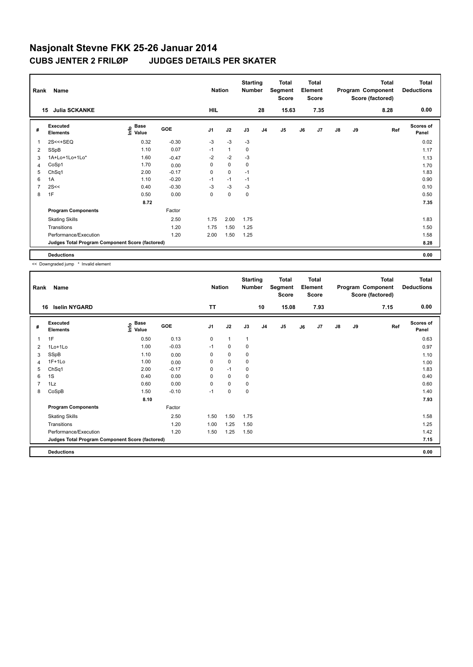| Rank | Name                                            |                              |            | <b>Nation</b>  |              | <b>Starting</b><br><b>Number</b> |                | <b>Total</b><br>Segment<br><b>Score</b> |    | <b>Total</b><br>Element<br><b>Score</b> |    |    | <b>Total</b><br>Program Component<br>Score (factored) | <b>Total</b><br><b>Deductions</b> |
|------|-------------------------------------------------|------------------------------|------------|----------------|--------------|----------------------------------|----------------|-----------------------------------------|----|-----------------------------------------|----|----|-------------------------------------------------------|-----------------------------------|
|      | <b>Julia SCKANKE</b><br>15                      |                              |            | HIL            |              |                                  | 28             | 15.63                                   |    | 7.35                                    |    |    | 8.28                                                  | 0.00                              |
| #    | Executed<br><b>Elements</b>                     | <b>Base</b><br>lnfo<br>Value | <b>GOE</b> | J <sub>1</sub> | J2           | J3                               | J <sub>4</sub> | J5                                      | J6 | J7                                      | J8 | J9 | Ref                                                   | Scores of<br>Panel                |
| 1    | $2S < +SEQ$                                     | 0.32                         | $-0.30$    | $-3$           | $-3$         | $-3$                             |                |                                         |    |                                         |    |    |                                                       | 0.02                              |
| 2    | SSpB                                            | 1.10                         | 0.07       | $-1$           | $\mathbf{1}$ | 0                                |                |                                         |    |                                         |    |    |                                                       | 1.17                              |
| 3    | 1A+Lo+1Lo+1Lo*                                  | 1.60                         | $-0.47$    | $-2$           | $-2$         | $-3$                             |                |                                         |    |                                         |    |    |                                                       | 1.13                              |
| 4    | CoSp1                                           | 1.70                         | 0.00       | $\Omega$       | $\Omega$     | 0                                |                |                                         |    |                                         |    |    |                                                       | 1.70                              |
| 5    | ChSq1                                           | 2.00                         | $-0.17$    | $\mathbf 0$    | $\mathbf 0$  | $-1$                             |                |                                         |    |                                         |    |    |                                                       | 1.83                              |
| 6    | 1A                                              | 1.10                         | $-0.20$    | $-1$           | $-1$         | $-1$                             |                |                                         |    |                                         |    |    |                                                       | 0.90                              |
|      | 2S<<                                            | 0.40                         | $-0.30$    | $-3$           | $-3$         | -3                               |                |                                         |    |                                         |    |    |                                                       | 0.10                              |
| 8    | 1F                                              | 0.50                         | 0.00       | $\Omega$       | $\Omega$     | 0                                |                |                                         |    |                                         |    |    |                                                       | 0.50                              |
|      |                                                 | 8.72                         |            |                |              |                                  |                |                                         |    |                                         |    |    |                                                       | 7.35                              |
|      | <b>Program Components</b>                       |                              | Factor     |                |              |                                  |                |                                         |    |                                         |    |    |                                                       |                                   |
|      | <b>Skating Skills</b>                           |                              | 2.50       | 1.75           | 2.00         | 1.75                             |                |                                         |    |                                         |    |    |                                                       | 1.83                              |
|      | Transitions                                     |                              | 1.20       | 1.75           | 1.50         | 1.25                             |                |                                         |    |                                         |    |    |                                                       | 1.50                              |
|      | Performance/Execution                           |                              | 1.20       | 2.00           | 1.50         | 1.25                             |                |                                         |    |                                         |    |    |                                                       | 1.58                              |
|      | Judges Total Program Component Score (factored) |                              |            |                |              |                                  |                |                                         |    |                                         |    |    |                                                       | 8.28                              |
|      | <b>Deductions</b>                               |                              |            |                |              |                                  |                |                                         |    |                                         |    |    |                                                       | 0.00                              |

<< Downgraded jump \* Invalid element

| Rank           | Name                                            |                             |            | <b>Nation</b>  |              | <b>Starting</b><br><b>Number</b> |                | <b>Total</b><br>Segment<br><b>Score</b> |    | <b>Total</b><br>Element<br><b>Score</b> |               |    | Total<br>Program Component<br>Score (factored) | <b>Total</b><br><b>Deductions</b> |
|----------------|-------------------------------------------------|-----------------------------|------------|----------------|--------------|----------------------------------|----------------|-----------------------------------------|----|-----------------------------------------|---------------|----|------------------------------------------------|-----------------------------------|
| 16             | <b>Iselin NYGARD</b>                            |                             |            | <b>TT</b>      |              |                                  | 10             | 15.08                                   |    | 7.93                                    |               |    | 7.15                                           | 0.00                              |
| #              | Executed<br><b>Elements</b>                     | Base<br>$\frac{6}{5}$ Value | <b>GOE</b> | J <sub>1</sub> | J2           | J3                               | J <sub>4</sub> | J <sub>5</sub>                          | J6 | J7                                      | $\mathsf{J}8$ | J9 | Ref                                            | <b>Scores of</b><br>Panel         |
| $\mathbf{1}$   | 1F                                              | 0.50                        | 0.13       | 0              | $\mathbf{1}$ | $\mathbf{1}$                     |                |                                         |    |                                         |               |    |                                                | 0.63                              |
| $\overline{2}$ | 1Lo+1Lo                                         | 1.00                        | $-0.03$    | $-1$           | $\mathbf 0$  | 0                                |                |                                         |    |                                         |               |    |                                                | 0.97                              |
| 3              | SSpB                                            | 1.10                        | 0.00       | 0              | $\mathbf 0$  | 0                                |                |                                         |    |                                         |               |    |                                                | 1.10                              |
| $\overline{4}$ | $1F+1Lo$                                        | 1.00                        | 0.00       | 0              | $\mathbf 0$  | 0                                |                |                                         |    |                                         |               |    |                                                | 1.00                              |
| 5              | ChSq1                                           | 2.00                        | $-0.17$    | 0              | $-1$         | 0                                |                |                                         |    |                                         |               |    |                                                | 1.83                              |
| 6              | 1S                                              | 0.40                        | 0.00       | 0              | $\pmb{0}$    | 0                                |                |                                         |    |                                         |               |    |                                                | 0.40                              |
| $\overline{7}$ | 1Lz                                             | 0.60                        | 0.00       | 0              | $\mathbf 0$  | 0                                |                |                                         |    |                                         |               |    |                                                | 0.60                              |
| 8              | CoSpB                                           | 1.50                        | $-0.10$    | $-1$           | $\pmb{0}$    | 0                                |                |                                         |    |                                         |               |    |                                                | 1.40                              |
|                |                                                 | 8.10                        |            |                |              |                                  |                |                                         |    |                                         |               |    |                                                | 7.93                              |
|                | <b>Program Components</b>                       |                             | Factor     |                |              |                                  |                |                                         |    |                                         |               |    |                                                |                                   |
|                | <b>Skating Skills</b>                           |                             | 2.50       | 1.50           | 1.50         | 1.75                             |                |                                         |    |                                         |               |    |                                                | 1.58                              |
|                | Transitions                                     |                             | 1.20       | 1.00           | 1.25         | 1.50                             |                |                                         |    |                                         |               |    |                                                | 1.25                              |
|                | Performance/Execution                           |                             | 1.20       | 1.50           | 1.25         | 1.50                             |                |                                         |    |                                         |               |    |                                                | 1.42                              |
|                | Judges Total Program Component Score (factored) |                             |            |                |              |                                  |                |                                         |    |                                         |               |    |                                                | 7.15                              |
|                | <b>Deductions</b>                               |                             |            |                |              |                                  |                |                                         |    |                                         |               |    |                                                | 0.00                              |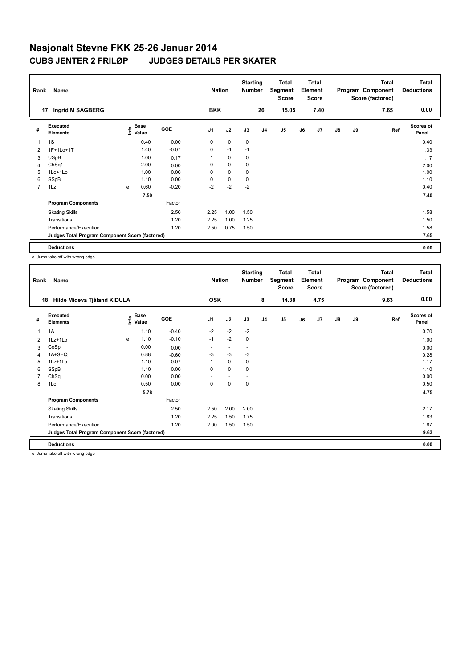| Rank           | Name                                            |   |                                  |            | <b>Nation</b>  |             | <b>Starting</b><br><b>Number</b> |    | <b>Total</b><br>Segment<br><b>Score</b> |    | <b>Total</b><br>Element<br><b>Score</b> |               |    | Total<br>Program Component<br>Score (factored) | <b>Total</b><br><b>Deductions</b> |
|----------------|-------------------------------------------------|---|----------------------------------|------------|----------------|-------------|----------------------------------|----|-----------------------------------------|----|-----------------------------------------|---------------|----|------------------------------------------------|-----------------------------------|
|                | Ingrid M SAGBERG<br>17                          |   |                                  |            | <b>BKK</b>     |             |                                  | 26 | 15.05                                   |    | 7.40                                    |               |    | 7.65                                           | 0.00                              |
| #              | Executed<br><b>Elements</b>                     |   | <b>Base</b><br>e Base<br>⊆ Value | <b>GOE</b> | J <sub>1</sub> | J2          | J3                               | J4 | J <sub>5</sub>                          | J6 | J7                                      | $\mathsf{J}8$ | J9 | Ref                                            | <b>Scores of</b><br>Panel         |
| 1              | 1S                                              |   | 0.40                             | 0.00       | 0              | $\mathbf 0$ | $\mathbf 0$                      |    |                                         |    |                                         |               |    |                                                | 0.40                              |
| $\overline{2}$ | 1F+1Lo+1T                                       |   | 1.40                             | $-0.07$    | $\mathbf 0$    | $-1$        | $-1$                             |    |                                         |    |                                         |               |    |                                                | 1.33                              |
| 3              | <b>USpB</b>                                     |   | 1.00                             | 0.17       |                | $\mathbf 0$ | 0                                |    |                                         |    |                                         |               |    |                                                | 1.17                              |
| $\overline{4}$ | ChSq1                                           |   | 2.00                             | 0.00       | 0              | $\mathbf 0$ | 0                                |    |                                         |    |                                         |               |    |                                                | 2.00                              |
| 5              | 1Lo+1Lo                                         |   | 1.00                             | 0.00       | 0              | $\mathbf 0$ | 0                                |    |                                         |    |                                         |               |    |                                                | 1.00                              |
| 6              | SSpB                                            |   | 1.10                             | 0.00       | 0              | $\pmb{0}$   | 0                                |    |                                         |    |                                         |               |    |                                                | 1.10                              |
| $\overline{7}$ | 1Lz                                             | e | 0.60                             | $-0.20$    | $-2$           | $-2$        | $-2$                             |    |                                         |    |                                         |               |    |                                                | 0.40                              |
|                |                                                 |   | 7.50                             |            |                |             |                                  |    |                                         |    |                                         |               |    |                                                | 7.40                              |
|                | <b>Program Components</b>                       |   |                                  | Factor     |                |             |                                  |    |                                         |    |                                         |               |    |                                                |                                   |
|                | <b>Skating Skills</b>                           |   |                                  | 2.50       | 2.25           | 1.00        | 1.50                             |    |                                         |    |                                         |               |    |                                                | 1.58                              |
|                | Transitions                                     |   |                                  | 1.20       | 2.25           | 1.00        | 1.25                             |    |                                         |    |                                         |               |    |                                                | 1.50                              |
|                | Performance/Execution                           |   |                                  | 1.20       | 2.50           | 0.75        | 1.50                             |    |                                         |    |                                         |               |    |                                                | 1.58                              |
|                | Judges Total Program Component Score (factored) |   |                                  |            |                |             |                                  |    |                                         |    |                                         |               |    |                                                | 7.65                              |
|                | <b>Deductions</b>                               |   |                                  |            |                |             |                                  |    |                                         |    |                                         |               |    |                                                | 0.00                              |

e Jump take off with wrong edge

| Rank           | Name                                            |      |                      |         | <b>Nation</b>            |                          | <b>Starting</b><br><b>Number</b> |                | <b>Total</b><br>Segment<br><b>Score</b> |    | <b>Total</b><br>Element<br><b>Score</b> |               |    | <b>Total</b><br>Program Component<br>Score (factored) | <b>Total</b><br><b>Deductions</b> |
|----------------|-------------------------------------------------|------|----------------------|---------|--------------------------|--------------------------|----------------------------------|----------------|-----------------------------------------|----|-----------------------------------------|---------------|----|-------------------------------------------------------|-----------------------------------|
| 18             | Hilde Mideva Tjåland KIDULA                     |      |                      |         | <b>OSK</b>               |                          |                                  | 8              | 14.38                                   |    | 4.75                                    |               |    | 9.63                                                  | 0.00                              |
| #              | Executed<br><b>Elements</b>                     | lnfo | <b>Base</b><br>Value | GOE     | J <sub>1</sub>           | J2                       | J3                               | J <sub>4</sub> | J <sub>5</sub>                          | J6 | J7                                      | $\mathsf{J}8$ | J9 | Ref                                                   | <b>Scores of</b><br>Panel         |
| 1              | 1A                                              |      | 1.10                 | $-0.40$ | $-2$                     | $-2$                     | $-2$                             |                |                                         |    |                                         |               |    |                                                       | 0.70                              |
| $\overline{2}$ | $1Lz+1L0$                                       | e    | 1.10                 | $-0.10$ | $-1$                     | $-2$                     | $\mathbf 0$                      |                |                                         |    |                                         |               |    |                                                       | 1.00                              |
| 3              | CoSp                                            |      | 0.00                 | 0.00    | $\overline{\phantom{0}}$ | $\overline{\phantom{a}}$ | $\overline{\phantom{a}}$         |                |                                         |    |                                         |               |    |                                                       | 0.00                              |
| $\overline{4}$ | 1A+SEQ                                          |      | 0.88                 | $-0.60$ | $-3$                     | $-3$                     | $-3$                             |                |                                         |    |                                         |               |    |                                                       | 0.28                              |
| 5              | 1Lz+1Lo                                         |      | 1.10                 | 0.07    |                          | $\mathbf 0$              | $\mathbf 0$                      |                |                                         |    |                                         |               |    |                                                       | 1.17                              |
| 6              | SSpB                                            |      | 1.10                 | 0.00    | $\mathbf 0$              | $\mathbf 0$              | $\mathbf 0$                      |                |                                         |    |                                         |               |    |                                                       | 1.10                              |
|                | ChSq                                            |      | 0.00                 | 0.00    | ٠                        | $\overline{\phantom{a}}$ | $\overline{\phantom{a}}$         |                |                                         |    |                                         |               |    |                                                       | 0.00                              |
| 8              | 1Lo                                             |      | 0.50                 | 0.00    | 0                        | $\mathbf 0$              | 0                                |                |                                         |    |                                         |               |    |                                                       | 0.50                              |
|                |                                                 |      | 5.78                 |         |                          |                          |                                  |                |                                         |    |                                         |               |    |                                                       | 4.75                              |
|                | <b>Program Components</b>                       |      |                      | Factor  |                          |                          |                                  |                |                                         |    |                                         |               |    |                                                       |                                   |
|                | <b>Skating Skills</b>                           |      |                      | 2.50    | 2.50                     | 2.00                     | 2.00                             |                |                                         |    |                                         |               |    |                                                       | 2.17                              |
|                | Transitions                                     |      |                      | 1.20    | 2.25                     | 1.50                     | 1.75                             |                |                                         |    |                                         |               |    |                                                       | 1.83                              |
|                | Performance/Execution                           |      |                      | 1.20    | 2.00                     | 1.50                     | 1.50                             |                |                                         |    |                                         |               |    |                                                       | 1.67                              |
|                | Judges Total Program Component Score (factored) |      |                      |         |                          |                          |                                  |                |                                         |    |                                         |               |    |                                                       | 9.63                              |
|                | <b>Deductions</b>                               |      |                      |         |                          |                          |                                  |                |                                         |    |                                         |               |    |                                                       | 0.00                              |

e Jump take off with wrong edge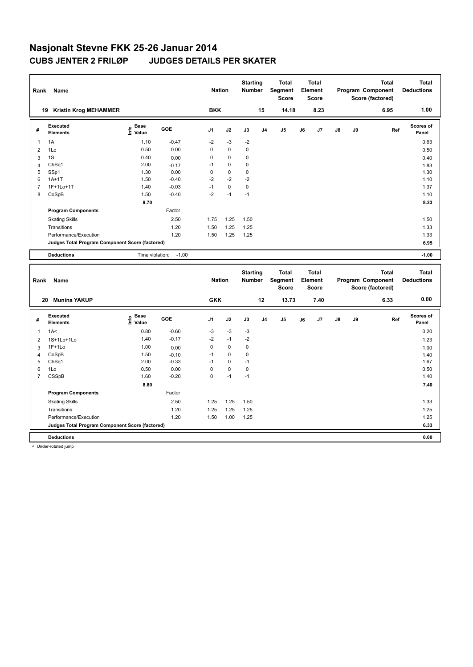| Rank                | Name                                            |                                           |                    | <b>Nation</b>  |                   | <b>Starting</b><br>Number        |                | <b>Total</b><br>Segment<br><b>Score</b> |    | <b>Total</b><br>Element<br><b>Score</b> |    |    | <b>Total</b><br>Program Component<br>Score (factored) | <b>Total</b><br><b>Deductions</b> |
|---------------------|-------------------------------------------------|-------------------------------------------|--------------------|----------------|-------------------|----------------------------------|----------------|-----------------------------------------|----|-----------------------------------------|----|----|-------------------------------------------------------|-----------------------------------|
|                     | 19 Kristin Krog MEHAMMER                        |                                           |                    | <b>BKK</b>     |                   |                                  | 15             | 14.18                                   |    | 8.23                                    |    |    | 6.95                                                  | 1.00                              |
| #                   | <b>Executed</b><br><b>Elements</b>              | $\frac{e}{E}$ Base<br>$\frac{E}{E}$ Value | <b>GOE</b>         | J <sub>1</sub> | J2                | J3                               | J <sub>4</sub> | J5                                      | J6 | J7                                      | J8 | J9 | Ref                                                   | Scores of<br>Panel                |
| $\mathbf{1}$        | 1A                                              | 1.10                                      | $-0.47$            | $-2$           | $-3$              | $-2$                             |                |                                         |    |                                         |    |    |                                                       | 0.63                              |
| $\overline{2}$      | 1Lo                                             | 0.50                                      | 0.00               | 0              | $\pmb{0}$         | 0                                |                |                                         |    |                                         |    |    |                                                       | 0.50                              |
| 3                   | 1S                                              | 0.40                                      | 0.00               | 0              | $\mathbf 0$       | 0                                |                |                                         |    |                                         |    |    |                                                       | 0.40                              |
| 4                   | ChSq1                                           | 2.00                                      | $-0.17$            | $-1$           | 0                 | 0                                |                |                                         |    |                                         |    |    |                                                       | 1.83                              |
| 5                   | SSp1                                            | 1.30                                      | 0.00               | 0              | $\mathbf 0$       | 0<br>$-2$                        |                |                                         |    |                                         |    |    |                                                       | 1.30                              |
| 6<br>$\overline{7}$ | $1A+1T$<br>1F+1Lo+1T                            | 1.50<br>1.40                              | $-0.40$<br>$-0.03$ | $-2$<br>$-1$   | $-2$<br>$\pmb{0}$ | $\pmb{0}$                        |                |                                         |    |                                         |    |    |                                                       | 1.10<br>1.37                      |
| 8                   | CoSpB                                           | 1.50                                      | $-0.40$            | $-2$           | $-1$              | $-1$                             |                |                                         |    |                                         |    |    |                                                       | 1.10                              |
|                     |                                                 | 9.70                                      |                    |                |                   |                                  |                |                                         |    |                                         |    |    |                                                       | 8.23                              |
|                     | <b>Program Components</b>                       |                                           | Factor             |                |                   |                                  |                |                                         |    |                                         |    |    |                                                       |                                   |
|                     | <b>Skating Skills</b>                           |                                           | 2.50               | 1.75           | 1.25              | 1.50                             |                |                                         |    |                                         |    |    |                                                       | 1.50                              |
|                     | Transitions                                     |                                           | 1.20               | 1.50           | 1.25              | 1.25                             |                |                                         |    |                                         |    |    |                                                       | 1.33                              |
|                     | Performance/Execution                           |                                           | 1.20               | 1.50           | 1.25              | 1.25                             |                |                                         |    |                                         |    |    |                                                       | 1.33                              |
|                     | Judges Total Program Component Score (factored) |                                           |                    |                |                   |                                  |                |                                         |    |                                         |    |    |                                                       | 6.95                              |
|                     | <b>Deductions</b>                               | Time violation:                           | $-1.00$            |                |                   |                                  |                |                                         |    |                                         |    |    |                                                       | $-1.00$                           |
|                     |                                                 |                                           |                    |                |                   |                                  |                |                                         |    |                                         |    |    |                                                       |                                   |
|                     |                                                 |                                           |                    |                |                   |                                  |                |                                         |    |                                         |    |    |                                                       |                                   |
| Rank                | Name                                            |                                           |                    | <b>Nation</b>  |                   | <b>Starting</b><br><b>Number</b> |                | <b>Total</b><br>Segment<br><b>Score</b> |    | <b>Total</b><br>Element<br><b>Score</b> |    |    | <b>Total</b><br>Program Component<br>Score (factored) | <b>Total</b><br><b>Deductions</b> |
|                     | <b>Munina YAKUP</b><br>20                       |                                           |                    | <b>GKK</b>     |                   |                                  | 12             | 13.73                                   |    | 7.40                                    |    |    | 6.33                                                  | 0.00                              |
| #                   | Executed<br><b>Elements</b>                     | $\mathbf{e}$ Base<br>$\mathbf{E}$ Value   | GOE                | J <sub>1</sub> | J2                | J3                               | J <sub>4</sub> | J5                                      | J6 | J7                                      | J8 | J9 | Ref                                                   | <b>Scores of</b><br>Panel         |
| $\mathbf{1}$        | 1A<                                             | 0.80                                      | $-0.60$            | $-3$           | $-3$              | $-3$                             |                |                                         |    |                                         |    |    |                                                       | 0.20                              |
| $\overline{2}$      | 1S+1Lo+1Lo                                      | 1.40                                      | $-0.17$            | $-2$           | $-1$              | $-2$                             |                |                                         |    |                                         |    |    |                                                       | 1.23                              |
| 3                   | $1F+1Lo$                                        | 1.00                                      | 0.00               | 0              | $\pmb{0}$         | 0                                |                |                                         |    |                                         |    |    |                                                       |                                   |
| $\overline{4}$      | CoSpB                                           | 1.50                                      | $-0.10$            | $-1$           | $\mathbf 0$       | 0                                |                |                                         |    |                                         |    |    |                                                       | 1.00<br>1.40                      |
| 5                   | ChSq1                                           | 2.00                                      | $-0.33$            | $-1$           | 0                 | $-1$                             |                |                                         |    |                                         |    |    |                                                       | 1.67                              |
| 6                   | 1Lo                                             | 0.50                                      | 0.00               | 0              | 0                 | 0                                |                |                                         |    |                                         |    |    |                                                       | 0.50                              |
| $\overline{7}$      | CSSpB                                           | 1.60                                      | $-0.20$            | 0              | $-1$              | $-1$                             |                |                                         |    |                                         |    |    |                                                       | 1.40                              |
|                     |                                                 | 8.80                                      |                    |                |                   |                                  |                |                                         |    |                                         |    |    |                                                       | 7.40                              |
|                     | <b>Program Components</b>                       |                                           | Factor             |                |                   |                                  |                |                                         |    |                                         |    |    |                                                       |                                   |
|                     | <b>Skating Skills</b>                           |                                           | 2.50               | 1.25           | 1.25              | 1.50                             |                |                                         |    |                                         |    |    |                                                       | 1.33                              |
|                     | Transitions                                     |                                           | 1.20               | 1.25           | 1.25              | 1.25                             |                |                                         |    |                                         |    |    |                                                       | 1.25                              |
|                     | Performance/Execution                           |                                           | 1.20               | 1.50           | 1.00              | 1.25                             |                |                                         |    |                                         |    |    |                                                       | 1.25                              |
|                     | Judges Total Program Component Score (factored) |                                           |                    |                |                   |                                  |                |                                         |    |                                         |    |    |                                                       | 6.33                              |

< Under-rotated jump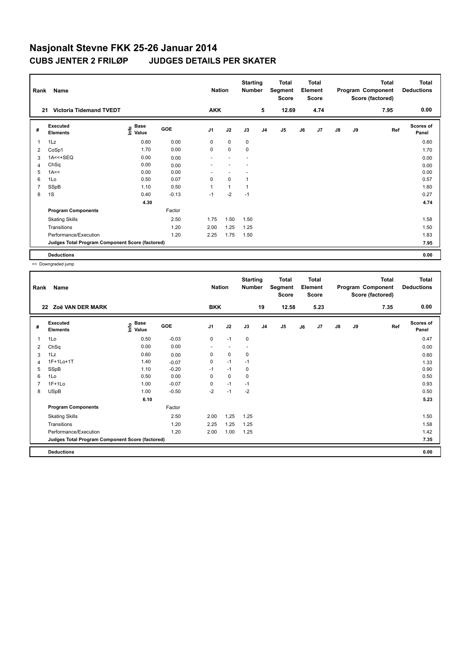| Rank | Name                                            |                                |         | <b>Nation</b>  |              | <b>Starting</b><br><b>Number</b> |                | <b>Total</b><br>Segment<br><b>Score</b> |    | <b>Total</b><br>Element<br><b>Score</b> |               |    | <b>Total</b><br>Program Component<br>Score (factored) | <b>Total</b><br><b>Deductions</b> |
|------|-------------------------------------------------|--------------------------------|---------|----------------|--------------|----------------------------------|----------------|-----------------------------------------|----|-----------------------------------------|---------------|----|-------------------------------------------------------|-----------------------------------|
| 21   | <b>Victoria Tidemand TVEDT</b>                  |                                |         | <b>AKK</b>     |              |                                  | 5              | 12.69                                   |    | 4.74                                    |               |    | 7.95                                                  | 0.00                              |
| #    | Executed<br><b>Elements</b>                     | $\sum_{i=1}^{n}$ Pase<br>Value | GOE     | J <sub>1</sub> | J2           | J3                               | J <sub>4</sub> | J5                                      | J6 | J7                                      | $\mathsf{J}8$ | J9 | Ref                                                   | <b>Scores of</b><br>Panel         |
| 1    | 1Lz                                             | 0.60                           | 0.00    | 0              | 0            | 0                                |                |                                         |    |                                         |               |    |                                                       | 0.60                              |
| 2    | CoSp1                                           | 1.70                           | 0.00    | 0              | $\mathbf 0$  | 0                                |                |                                         |    |                                         |               |    |                                                       | 1.70                              |
| 3    | $1A < +SEQ$                                     | 0.00                           | 0.00    |                |              |                                  |                |                                         |    |                                         |               |    |                                                       | 0.00                              |
| 4    | ChSq                                            | 0.00                           | 0.00    |                |              |                                  |                |                                         |    |                                         |               |    |                                                       | 0.00                              |
| 5    | 1A<<                                            | 0.00                           | 0.00    |                |              |                                  |                |                                         |    |                                         |               |    |                                                       | 0.00                              |
| 6    | 1Lo                                             | 0.50                           | 0.07    | $\mathbf 0$    | $\mathbf 0$  |                                  |                |                                         |    |                                         |               |    |                                                       | 0.57                              |
| 7    | SSpB                                            | 1.10                           | 0.50    |                | $\mathbf{1}$ |                                  |                |                                         |    |                                         |               |    |                                                       | 1.60                              |
| 8    | 1S                                              | 0.40                           | $-0.13$ | $-1$           | $-2$         | $-1$                             |                |                                         |    |                                         |               |    |                                                       | 0.27                              |
|      |                                                 | 4.30                           |         |                |              |                                  |                |                                         |    |                                         |               |    |                                                       | 4.74                              |
|      | <b>Program Components</b>                       |                                | Factor  |                |              |                                  |                |                                         |    |                                         |               |    |                                                       |                                   |
|      | <b>Skating Skills</b>                           |                                | 2.50    | 1.75           | 1.50         | 1.50                             |                |                                         |    |                                         |               |    |                                                       | 1.58                              |
|      | Transitions                                     |                                | 1.20    | 2.00           | 1.25         | 1.25                             |                |                                         |    |                                         |               |    |                                                       | 1.50                              |
|      | Performance/Execution                           |                                | 1.20    | 2.25           | 1.75         | 1.50                             |                |                                         |    |                                         |               |    |                                                       | 1.83                              |
|      | Judges Total Program Component Score (factored) |                                |         |                |              |                                  |                |                                         |    |                                         |               |    |                                                       | 7.95                              |
|      | <b>Deductions</b>                               |                                |         |                |              |                                  |                |                                         |    |                                         |               |    |                                                       | 0.00                              |

<< Downgraded jump

| Rank           | Name                                            |                                  |            | <b>Nation</b>  |                          | <b>Starting</b><br><b>Number</b> |                | <b>Total</b><br>Segment<br><b>Score</b> |    | <b>Total</b><br>Element<br><b>Score</b> |               |    | <b>Total</b><br>Program Component<br>Score (factored) | Total<br><b>Deductions</b> |
|----------------|-------------------------------------------------|----------------------------------|------------|----------------|--------------------------|----------------------------------|----------------|-----------------------------------------|----|-----------------------------------------|---------------|----|-------------------------------------------------------|----------------------------|
| 22             | Zoë VAN DER MARK                                |                                  |            | <b>BKK</b>     |                          |                                  | 19             | 12.58                                   |    | 5.23                                    |               |    | 7.35                                                  | 0.00                       |
| #              | Executed<br><b>Elements</b>                     | <b>Base</b><br>e Base<br>⊆ Value | <b>GOE</b> | J <sub>1</sub> | J2                       | J3                               | J <sub>4</sub> | J <sub>5</sub>                          | J6 | J7                                      | $\mathsf{J}8$ | J9 | Ref                                                   | <b>Scores of</b><br>Panel  |
| 1              | 1Lo                                             | 0.50                             | $-0.03$    | 0              | $-1$                     | 0                                |                |                                         |    |                                         |               |    |                                                       | 0.47                       |
| 2              | ChSq                                            | 0.00                             | 0.00       | $\blacksquare$ | $\overline{\phantom{a}}$ | $\overline{\phantom{a}}$         |                |                                         |    |                                         |               |    |                                                       | 0.00                       |
| 3              | 1Lz                                             | 0.60                             | 0.00       | $\mathbf 0$    | $\pmb{0}$                | 0                                |                |                                         |    |                                         |               |    |                                                       | 0.60                       |
| 4              | 1F+1Lo+1T                                       | 1.40                             | $-0.07$    | 0              | $-1$                     | $-1$                             |                |                                         |    |                                         |               |    |                                                       | 1.33                       |
| 5              | SSpB                                            | 1.10                             | $-0.20$    | $-1$           | $-1$                     | 0                                |                |                                         |    |                                         |               |    |                                                       | 0.90                       |
| 6              | 1Lo                                             | 0.50                             | 0.00       | 0              | $\mathbf 0$              | 0                                |                |                                         |    |                                         |               |    |                                                       | 0.50                       |
| $\overline{7}$ | $1F+1Lo$                                        | 1.00                             | $-0.07$    | 0              | $-1$                     | $-1$                             |                |                                         |    |                                         |               |    |                                                       | 0.93                       |
| 8              | <b>USpB</b>                                     | 1.00                             | $-0.50$    | $-2$           | $-1$                     | $-2$                             |                |                                         |    |                                         |               |    |                                                       | 0.50                       |
|                |                                                 | 6.10                             |            |                |                          |                                  |                |                                         |    |                                         |               |    |                                                       | 5.23                       |
|                | <b>Program Components</b>                       |                                  | Factor     |                |                          |                                  |                |                                         |    |                                         |               |    |                                                       |                            |
|                | <b>Skating Skills</b>                           |                                  | 2.50       | 2.00           | 1.25                     | 1.25                             |                |                                         |    |                                         |               |    |                                                       | 1.50                       |
|                | Transitions                                     |                                  | 1.20       | 2.25           | 1.25                     | 1.25                             |                |                                         |    |                                         |               |    |                                                       | 1.58                       |
|                | Performance/Execution                           |                                  | 1.20       | 2.00           | 1.00                     | 1.25                             |                |                                         |    |                                         |               |    |                                                       | 1.42                       |
|                | Judges Total Program Component Score (factored) |                                  |            |                |                          |                                  |                |                                         |    |                                         |               |    |                                                       | 7.35                       |
|                | <b>Deductions</b>                               |                                  |            |                |                          |                                  |                |                                         |    |                                         |               |    |                                                       | 0.00                       |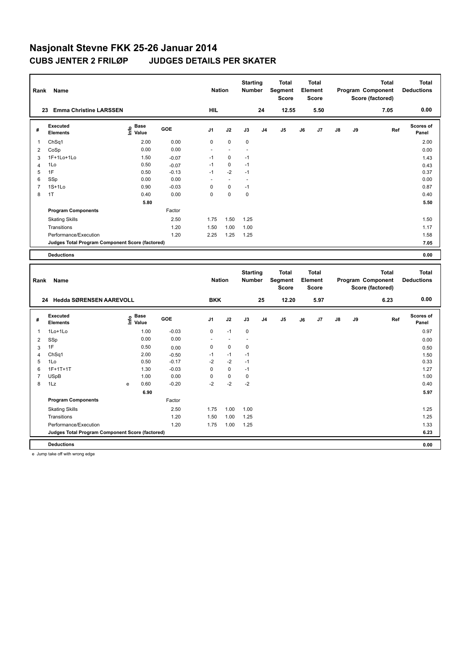| Rank                    | Name                                            |                   |         | <b>Nation</b>  |                      | <b>Starting</b><br>Number |                | <b>Total</b><br>Segment<br><b>Score</b> |    | <b>Total</b><br>Element<br><b>Score</b> |    |    | <b>Total</b><br>Program Component<br>Score (factored) | <b>Total</b><br><b>Deductions</b> |
|-------------------------|-------------------------------------------------|-------------------|---------|----------------|----------------------|---------------------------|----------------|-----------------------------------------|----|-----------------------------------------|----|----|-------------------------------------------------------|-----------------------------------|
|                         | 23 Emma Christine LARSSEN                       |                   |         | <b>HIL</b>     |                      |                           | 24             | 12.55                                   |    | 5.50                                    |    |    | 7.05                                                  | 0.00                              |
| #                       | <b>Executed</b><br><b>Elements</b>              | e Base<br>E Value | GOE     | J <sub>1</sub> | J2                   | J3                        | J <sub>4</sub> | J5                                      | J6 | J7                                      | J8 | J9 | Ref                                                   | <b>Scores of</b><br>Panel         |
| 1                       | ChSq1                                           | 2.00              | 0.00    | 0              | $\mathbf 0$          | $\mathbf 0$               |                |                                         |    |                                         |    |    |                                                       | 2.00                              |
| $\overline{2}$          | CoSp                                            | 0.00              | 0.00    | $\overline{a}$ | $\ddot{\phantom{1}}$ | $\ddot{\phantom{1}}$      |                |                                         |    |                                         |    |    |                                                       | 0.00                              |
| 3                       | 1F+1Lo+1Lo                                      | 1.50              | $-0.07$ | $-1$           | 0                    | $-1$                      |                |                                         |    |                                         |    |    |                                                       | 1.43                              |
| $\overline{4}$          | 1Lo                                             | 0.50              | $-0.07$ | $-1$           | $\pmb{0}$            | $-1$                      |                |                                         |    |                                         |    |    |                                                       | 0.43                              |
| 5                       | 1F                                              | 0.50              | $-0.13$ | $-1$           | $-2$                 | $-1$                      |                |                                         |    |                                         |    |    |                                                       | 0.37                              |
| 6                       | SSp                                             | 0.00              | 0.00    |                | $\ddot{\phantom{1}}$ | $\sim$                    |                |                                         |    |                                         |    |    |                                                       | 0.00                              |
| $\overline{7}$          | 1S+1Lo                                          | 0.90              | $-0.03$ | 0              | $\mathbf 0$          | $-1$                      |                |                                         |    |                                         |    |    |                                                       | 0.87                              |
| 8                       | 1T                                              | 0.40              | 0.00    | 0              | $\mathbf 0$          | 0                         |                |                                         |    |                                         |    |    |                                                       | 0.40                              |
|                         |                                                 | 5.80              |         |                |                      |                           |                |                                         |    |                                         |    |    |                                                       | 5.50                              |
|                         | <b>Program Components</b>                       |                   | Factor  |                |                      |                           |                |                                         |    |                                         |    |    |                                                       |                                   |
|                         | <b>Skating Skills</b>                           |                   | 2.50    | 1.75           | 1.50                 | 1.25                      |                |                                         |    |                                         |    |    |                                                       | 1.50                              |
|                         | Transitions                                     |                   | 1.20    | 1.50           | 1.00                 | 1.00                      |                |                                         |    |                                         |    |    |                                                       | 1.17                              |
|                         | Performance/Execution                           |                   | 1.20    | 2.25           | 1.25                 | 1.25                      |                |                                         |    |                                         |    |    |                                                       | 1.58                              |
|                         | Judges Total Program Component Score (factored) |                   |         |                |                      |                           |                |                                         |    |                                         |    |    |                                                       | 7.05                              |
|                         | <b>Deductions</b>                               |                   |         |                |                      |                           |                |                                         |    |                                         |    |    |                                                       | 0.00                              |
|                         |                                                 |                   |         |                |                      |                           |                |                                         |    |                                         |    |    |                                                       |                                   |
|                         |                                                 |                   |         |                |                      |                           |                |                                         |    |                                         |    |    |                                                       |                                   |
|                         |                                                 |                   |         |                |                      | <b>Starting</b>           |                | <b>Total</b>                            |    | <b>Total</b>                            |    |    | <b>Total</b>                                          | <b>Total</b>                      |
| Rank                    | Name                                            |                   |         | <b>Nation</b>  |                      | Number                    |                | Segment<br><b>Score</b>                 |    | Element<br><b>Score</b>                 |    |    | Program Component                                     | <b>Deductions</b>                 |
|                         |                                                 |                   |         |                |                      |                           |                |                                         |    |                                         |    |    | Score (factored)                                      |                                   |
|                         | 24 Hedda SØRENSEN AAREVOLL                      |                   |         | <b>BKK</b>     |                      |                           | 25             | 12.20                                   |    | 5.97                                    |    |    | 6.23                                                  | 0.00                              |
| #                       | <b>Executed</b><br><b>Elements</b>              | $rac{e}{E}$ Base  | GOE     | J1             | J2                   | J3                        | J <sub>4</sub> | J5                                      | J6 | J7                                      | J8 | J9 | Ref                                                   | Scores of<br>Panel                |
| 1                       | 1Lo+1Lo                                         | 1.00              | $-0.03$ | 0              | $-1$                 | $\mathbf 0$               |                |                                         |    |                                         |    |    |                                                       | 0.97                              |
| $\overline{\mathbf{c}}$ | SSp                                             | 0.00              | 0.00    | L,             | L,                   | Ĭ.                        |                |                                         |    |                                         |    |    |                                                       | 0.00                              |
| 3                       | 1F                                              | 0.50              | 0.00    | 0              | $\pmb{0}$            | $\pmb{0}$                 |                |                                         |    |                                         |    |    |                                                       | 0.50                              |
| $\overline{4}$          | ChSq1                                           | 2.00              | $-0.50$ | $-1$           | $-1$                 | $-1$                      |                |                                         |    |                                         |    |    |                                                       | 1.50                              |
| 5                       | 1Lo                                             | 0.50              | $-0.17$ | $-2$           | $-2$                 | $-1$                      |                |                                         |    |                                         |    |    |                                                       | 0.33                              |
| 6                       | $1F+1T+1T$                                      | 1.30              | $-0.03$ | 0              | $\mathbf 0$          | $-1$                      |                |                                         |    |                                         |    |    |                                                       | 1.27                              |
| $\overline{7}$          | <b>USpB</b>                                     | 1.00              | 0.00    | 0              | 0                    | $\pmb{0}$                 |                |                                         |    |                                         |    |    |                                                       | 1.00                              |
| 8                       | 1Lz                                             | 0.60<br>e         | $-0.20$ | $-2$           | $-2$                 | $-2$                      |                |                                         |    |                                         |    |    |                                                       | 0.40                              |
|                         |                                                 | 6.90              |         |                |                      |                           |                |                                         |    |                                         |    |    |                                                       | 5.97                              |
|                         | <b>Program Components</b>                       |                   | Factor  |                |                      |                           |                |                                         |    |                                         |    |    |                                                       |                                   |
|                         | <b>Skating Skills</b>                           |                   | 2.50    | 1.75           | 1.00                 | 1.00                      |                |                                         |    |                                         |    |    |                                                       | 1.25                              |
|                         | Transitions                                     |                   | 1.20    | 1.50           | 1.00                 | 1.25                      |                |                                         |    |                                         |    |    |                                                       | 1.25                              |
|                         | Performance/Execution                           |                   | 1.20    | 1.75           | 1.00                 | 1.25                      |                |                                         |    |                                         |    |    |                                                       | 1.33                              |
|                         | Judges Total Program Component Score (factored) |                   |         |                |                      |                           |                |                                         |    |                                         |    |    |                                                       | 6.23                              |

e Jump take off with wrong edge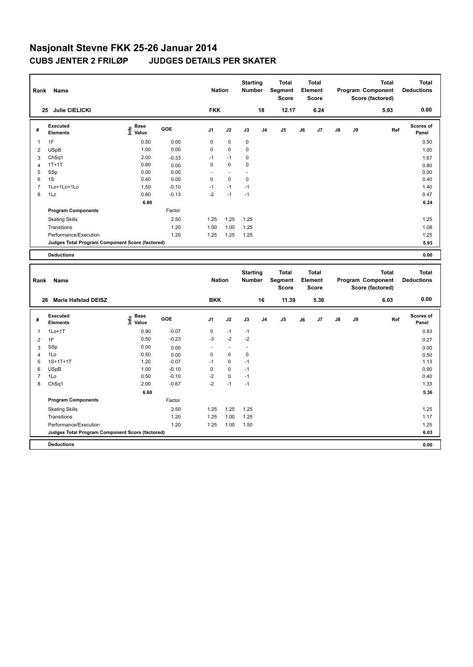| Rank           | Name                                            |                                           |         | <b>Nation</b>  |                | <b>Starting</b><br><b>Number</b> |                | <b>Total</b><br>Segment<br>Score        |    | <b>Total</b><br>Element<br>Score        |    |    | <b>Total</b><br>Program Component<br>Score (factored) | <b>Total</b><br><b>Deductions</b> |
|----------------|-------------------------------------------------|-------------------------------------------|---------|----------------|----------------|----------------------------------|----------------|-----------------------------------------|----|-----------------------------------------|----|----|-------------------------------------------------------|-----------------------------------|
|                | 25 Julie CIELICKI                               |                                           |         | <b>FKK</b>     |                |                                  | 18             | 12.17                                   |    | 6.24                                    |    |    | 5.93                                                  | 0.00                              |
| #              | <b>Executed</b><br><b>Elements</b>              | $\frac{e}{E}$ Base<br>$\frac{e}{E}$ Value | GOE     | J1             | J2             | J3                               | J <sub>4</sub> | J5                                      | J6 | J7                                      | J8 | J9 | Ref                                                   | <b>Scores of</b><br>Panel         |
| 1              | 1F                                              | 0.50                                      | 0.00    | 0              | $\pmb{0}$      | $\pmb{0}$                        |                |                                         |    |                                         |    |    |                                                       | 0.50                              |
| $\overline{2}$ | <b>USpB</b>                                     | 1.00                                      | 0.00    | 0              | 0              | 0                                |                |                                         |    |                                         |    |    |                                                       | 1.00                              |
| 3              | ChSq1                                           | 2.00                                      | $-0.33$ | $-1$           | $-1$           | 0                                |                |                                         |    |                                         |    |    |                                                       | 1.67                              |
| $\overline{4}$ | $1T+1T$                                         | 0.80                                      | 0.00    | 0              | $\mathbf 0$    | 0                                |                |                                         |    |                                         |    |    |                                                       | 0.80                              |
| 5              | SSp                                             | 0.00                                      | 0.00    |                | $\overline{a}$ |                                  |                |                                         |    |                                         |    |    |                                                       | 0.00                              |
| 6              | 1S                                              | 0.40                                      | 0.00    | 0              | 0              | 0                                |                |                                         |    |                                         |    |    |                                                       | 0.40                              |
| $\overline{7}$ | 1Lo+1Lo+1Lo                                     | 1.50                                      | $-0.10$ | $-1$           | $-1$           | $-1$                             |                |                                         |    |                                         |    |    |                                                       | 1.40                              |
| 8              | 1Lz                                             | 0.60                                      | $-0.13$ | $-2$           | $-1$           | $-1$                             |                |                                         |    |                                         |    |    |                                                       | 0.47                              |
|                |                                                 | 6.80                                      |         |                |                |                                  |                |                                         |    |                                         |    |    |                                                       | 6.24                              |
|                | <b>Program Components</b>                       |                                           | Factor  |                |                |                                  |                |                                         |    |                                         |    |    |                                                       |                                   |
|                | <b>Skating Skills</b>                           |                                           | 2.50    | 1.25           | 1.25           | 1.25                             |                |                                         |    |                                         |    |    |                                                       | 1.25                              |
|                | Transitions                                     |                                           | 1.20    | 1.00           | 1.00           | 1.25                             |                |                                         |    |                                         |    |    |                                                       | 1.08                              |
|                | Performance/Execution                           |                                           | 1.20    | 1.25           | 1.25           | 1.25                             |                |                                         |    |                                         |    |    |                                                       | 1.25                              |
|                | Judges Total Program Component Score (factored) |                                           |         |                |                |                                  |                |                                         |    |                                         |    |    |                                                       | 5.93                              |
|                | <b>Deductions</b>                               |                                           |         |                |                |                                  |                |                                         |    |                                         |    |    |                                                       | 0.00                              |
|                |                                                 |                                           |         |                |                |                                  |                |                                         |    |                                         |    |    |                                                       |                                   |
|                |                                                 |                                           |         |                |                |                                  |                |                                         |    |                                         |    |    |                                                       |                                   |
| Rank           | Name                                            |                                           |         | <b>Nation</b>  |                | <b>Starting</b><br>Number        |                | <b>Total</b><br>Segment<br><b>Score</b> |    | <b>Total</b><br>Element<br><b>Score</b> |    |    | <b>Total</b><br>Program Component<br>Score (factored) | <b>Total</b><br><b>Deductions</b> |
|                | 26 Marie Hafstad DEISZ                          |                                           |         | <b>BKK</b>     |                |                                  | 16             | 11.39                                   |    | 5.36                                    |    |    | 6.03                                                  | 0.00                              |
| #              | <b>Executed</b><br><b>Elements</b>              | $\overset{\circ}{\text{E}}$ Value         | GOE     | J <sub>1</sub> | J2             | J3                               | J <sub>4</sub> | J <sub>5</sub>                          | J6 | J7                                      | J8 | J9 | Ref                                                   | <b>Scores of</b><br>Panel         |
| 1              | $1Lo+1T$                                        | 0.90                                      | $-0.07$ | 0              | $-1$           | $-1$                             |                |                                         |    |                                         |    |    |                                                       | 0.83                              |
| $\overline{2}$ | 1F                                              | 0.50                                      | $-0.23$ | -3             | $-2$           | $-2$                             |                |                                         |    |                                         |    |    |                                                       | 0.27                              |
| 3              | SSp                                             | 0.00                                      | 0.00    |                | $\overline{a}$ | L,                               |                |                                         |    |                                         |    |    |                                                       | 0.00                              |
| $\overline{4}$ | 1Lo                                             | 0.50                                      | 0.00    | 0              | 0              | 0                                |                |                                         |    |                                         |    |    |                                                       | 0.50                              |
| 5              | $1S+1T+1T$                                      | 1.20                                      | $-0.07$ | $-1$           | $\pmb{0}$      | $-1$                             |                |                                         |    |                                         |    |    |                                                       | 1.13                              |
| 6              | <b>USpB</b>                                     | 1.00                                      | $-0.10$ | 0              | $\mathbf 0$    | $-1$                             |                |                                         |    |                                         |    |    |                                                       | 0.90                              |
| $\overline{7}$ | 1Lo                                             | 0.50                                      | $-0.10$ | $-2$           | 0              | $-1$                             |                |                                         |    |                                         |    |    |                                                       | 0.40                              |
| 8              | ChSq1                                           | 2.00                                      | $-0.67$ | $-2$           | $-1$           | $-1$                             |                |                                         |    |                                         |    |    |                                                       | 1.33                              |
|                |                                                 | 6.60                                      |         |                |                |                                  |                |                                         |    |                                         |    |    |                                                       | 5.36                              |
|                | <b>Program Components</b>                       |                                           | Factor  |                |                |                                  |                |                                         |    |                                         |    |    |                                                       |                                   |
|                | <b>Skating Skills</b>                           |                                           | 2.50    | 1.25           | 1.25           | 1.25                             |                |                                         |    |                                         |    |    |                                                       | 1.25                              |
|                | Transitions                                     |                                           | 1.20    | 1.25           | 1.00           | 1.25                             |                |                                         |    |                                         |    |    |                                                       | 1.17                              |
|                | Performance/Execution                           |                                           | 1.20    | 1.25           | 1.00           | 1.50                             |                |                                         |    |                                         |    |    |                                                       | 1.25                              |
|                | Judges Total Program Component Score (factored) |                                           |         |                |                |                                  |                |                                         |    |                                         |    |    |                                                       | 6.03                              |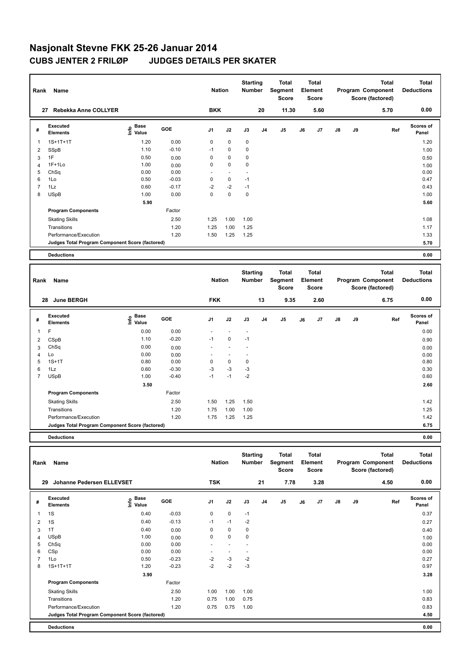| Rank                    | Name                                            |                                           |         | <b>Nation</b>       |                | <b>Starting</b><br>Number        |    | <b>Total</b><br>Segment<br>Score        |    | Total<br>Element<br><b>Score</b> |    |    | <b>Total</b><br>Program Component<br>Score (factored) | <b>Total</b><br><b>Deductions</b> |
|-------------------------|-------------------------------------------------|-------------------------------------------|---------|---------------------|----------------|----------------------------------|----|-----------------------------------------|----|----------------------------------|----|----|-------------------------------------------------------|-----------------------------------|
|                         | 27 Rebekka Anne COLLYER                         |                                           |         | <b>BKK</b>          |                |                                  | 20 | 11.30                                   |    | 5.60                             |    |    | 5.70                                                  | 0.00                              |
| #                       | Executed<br><b>Elements</b>                     | $\frac{e}{E}$ Base<br>$\frac{E}{E}$ Value | GOE     | J1                  | J2             | J3                               | J4 | J5                                      | J6 | J7                               | J8 | J9 | Ref                                                   | Scores of<br>Panel                |
| 1                       | $1S+1T+1T$                                      | 1.20                                      | 0.00    | $\mathbf 0$         | 0              | 0                                |    |                                         |    |                                  |    |    |                                                       | 1.20                              |
| 2                       | SSpB                                            | 1.10                                      | $-0.10$ | $-1$                | 0              | 0                                |    |                                         |    |                                  |    |    |                                                       | 1.00                              |
| 3                       | 1F                                              | 0.50                                      | 0.00    | 0                   | 0              | 0                                |    |                                         |    |                                  |    |    |                                                       | 0.50                              |
| 4                       | 1F+1Lo                                          | 1.00                                      | 0.00    | 0                   | $\mathbf 0$    | $\mathbf 0$                      |    |                                         |    |                                  |    |    |                                                       | 1.00                              |
| 5                       | ChSq                                            | 0.00                                      | 0.00    | $\overline{a}$      | $\sim$         | $\overline{a}$                   |    |                                         |    |                                  |    |    |                                                       | 0.00                              |
| 6                       | 1Lo                                             | 0.50                                      | $-0.03$ | 0                   | $\pmb{0}$      | $-1$                             |    |                                         |    |                                  |    |    |                                                       | 0.47                              |
| $\overline{7}$          | 1Lz                                             | 0.60                                      | $-0.17$ | $-2$                | $-2$           | $-1$                             |    |                                         |    |                                  |    |    |                                                       | 0.43                              |
| 8                       | <b>USpB</b>                                     | 1.00                                      | 0.00    | $\mathbf 0$         | $\mathbf 0$    | 0                                |    |                                         |    |                                  |    |    |                                                       | 1.00                              |
|                         |                                                 | 5.90                                      |         |                     |                |                                  |    |                                         |    |                                  |    |    |                                                       | 5.60                              |
|                         | <b>Program Components</b>                       |                                           | Factor  |                     |                |                                  |    |                                         |    |                                  |    |    |                                                       |                                   |
|                         | <b>Skating Skills</b>                           |                                           | 2.50    | 1.25                | 1.00           | 1.00                             |    |                                         |    |                                  |    |    |                                                       | 1.08                              |
|                         | Transitions                                     |                                           | 1.20    | 1.25                | 1.00           | 1.25                             |    |                                         |    |                                  |    |    |                                                       | 1.17                              |
|                         | Performance/Execution                           |                                           | 1.20    | 1.50                | 1.25           | 1.25                             |    |                                         |    |                                  |    |    |                                                       | 1.33                              |
|                         | Judges Total Program Component Score (factored) |                                           |         |                     |                |                                  |    |                                         |    |                                  |    |    |                                                       | 5.70                              |
|                         | <b>Deductions</b>                               |                                           |         |                     |                |                                  |    |                                         |    |                                  |    |    |                                                       | 0.00                              |
|                         |                                                 |                                           |         |                     |                |                                  |    |                                         |    |                                  |    |    |                                                       |                                   |
| Rank                    | Name                                            |                                           |         | <b>Nation</b>       |                | <b>Starting</b><br>Number        |    | <b>Total</b><br>Segment<br><b>Score</b> |    | Total<br>Element<br><b>Score</b> |    |    | <b>Total</b><br>Program Component<br>Score (factored) | <b>Total</b><br><b>Deductions</b> |
|                         | 28 June BERGH                                   |                                           |         | <b>FKK</b>          |                |                                  | 13 | 9.35                                    |    | 2.60                             |    |    | 6.75                                                  | 0.00                              |
|                         | Executed                                        |                                           |         |                     |                |                                  |    |                                         |    |                                  |    |    |                                                       | Scores of                         |
| #                       | <b>Elements</b>                                 | $\overset{\circ}{\text{E}}$ Value         | GOE     | J1                  | J2             | J3                               | J4 | J5                                      | J6 | J7                               | J8 | J9 | Ref                                                   | Panel                             |
| 1                       | F                                               | 0.00                                      | 0.00    |                     | $\overline{a}$ | $\sim$                           |    |                                         |    |                                  |    |    |                                                       | 0.00                              |
| 2                       | CSpB                                            | 1.10                                      | $-0.20$ | $-1$                | $\pmb{0}$      | $-1$                             |    |                                         |    |                                  |    |    |                                                       | 0.90                              |
| 3                       | ChSq                                            | 0.00                                      | 0.00    |                     | $\overline{a}$ |                                  |    |                                         |    |                                  |    |    |                                                       | 0.00                              |
| $\overline{\mathbf{4}}$ | Lo                                              | 0.00                                      | 0.00    |                     | $\sim$         | $\sim$                           |    |                                         |    |                                  |    |    |                                                       | 0.00                              |
| 5                       | $1S+1T$                                         | 0.80                                      | 0.00    | 0                   | 0              | 0                                |    |                                         |    |                                  |    |    |                                                       | 0.80                              |
| 6                       | 1Lz                                             | 0.60                                      | $-0.30$ | -3                  | $-3$           | $-3$                             |    |                                         |    |                                  |    |    |                                                       | 0.30                              |
| $\overline{7}$          | <b>USpB</b>                                     | 1.00                                      | $-0.40$ | $-1$                | $-1$           | $-2$                             |    |                                         |    |                                  |    |    |                                                       | 0.60                              |
|                         |                                                 | 3.50                                      |         |                     |                |                                  |    |                                         |    |                                  |    |    |                                                       | 2.60                              |
|                         | <b>Program Components</b>                       |                                           | Factor  |                     |                |                                  |    |                                         |    |                                  |    |    |                                                       |                                   |
|                         | <b>Skating Skills</b>                           |                                           | 2.50    | 1.50                | 1.25           | 1.50                             |    |                                         |    |                                  |    |    |                                                       | 1.42                              |
|                         | Transitions                                     |                                           | 1.20    | 1.75                | 1.00           | 1.00                             |    |                                         |    |                                  |    |    |                                                       | 1.25                              |
|                         | Performance/Execution                           |                                           | 1.20    | 1.75                | 1.25           | 1.25                             |    |                                         |    |                                  |    |    |                                                       | 1.42                              |
|                         | Judges Total Program Component Score (factored) |                                           |         |                     |                |                                  |    |                                         |    |                                  |    |    |                                                       | 6.75                              |
|                         | <b>Deductions</b>                               |                                           |         |                     |                |                                  |    |                                         |    |                                  |    |    |                                                       | 0.00                              |
|                         |                                                 |                                           |         |                     |                |                                  |    |                                         |    |                                  |    |    |                                                       |                                   |
| Rank                    | Name                                            |                                           |         | <b>Nation</b>       |                | <b>Starting</b><br><b>Number</b> |    | <b>Total</b><br>Segment<br>Score        |    | Total<br>Element<br><b>Score</b> |    |    | <b>Total</b><br>Program Component<br>Score (factored) | Total<br><b>Deductions</b>        |
|                         | 29 Johanne Pedersen ELLEVSET                    |                                           |         | <b>TSK</b>          |                |                                  | 21 | 7.78                                    |    | 3.28                             |    |    | 4.50                                                  | 0.00                              |
| #                       | Executed<br><b>Elements</b>                     | $\frac{6}{5}$ Base<br>$\frac{1}{5}$ Value | GOE     | J1                  | J2             | J3                               | J4 | J5                                      | J6 | J7                               | J8 | J9 | Ref                                                   | Scores of<br>Panel                |
| 1                       | 1S                                              | 0.40                                      | $-0.03$ | $\mathbf 0$         | $\pmb{0}$      | $-1$                             |    |                                         |    |                                  |    |    |                                                       | 0.37                              |
| $\overline{\mathbf{c}}$ | 1S                                              | 0.40                                      | $-0.13$ | $-1$                | $-1$           | $-2$                             |    |                                         |    |                                  |    |    |                                                       | 0.27                              |
| 3                       | 1T                                              | 0.40                                      | 0.00    | 0                   | $\pmb{0}$      | $\mathbf 0$                      |    |                                         |    |                                  |    |    |                                                       | 0.40                              |
| $\overline{\mathbf{4}}$ | <b>USpB</b>                                     | 1.00                                      | 0.00    | 0                   | $\mathbf 0$    | $\mathbf 0$                      |    |                                         |    |                                  |    |    |                                                       | 1.00                              |
| 5                       | ChSq                                            | 0.00                                      | 0.00    | $\bar{\phantom{a}}$ | $\omega$       | $\overline{\phantom{a}}$         |    |                                         |    |                                  |    |    |                                                       | 0.00                              |
| 6                       | CSp                                             | 0.00                                      | 0.00    | $\sim$              | $\sim$         | $\overline{a}$                   |    |                                         |    |                                  |    |    |                                                       | 0.00                              |
| $\overline{7}$          | 1Lo                                             | 0.50                                      | $-0.23$ | $-2$                | $-3$           | $-2$                             |    |                                         |    |                                  |    |    |                                                       | 0.27                              |
| 8                       | $1S+1T+1T$                                      | 1.20                                      | $-0.23$ | $-2$                | $-2$           | $-3$                             |    |                                         |    |                                  |    |    |                                                       | 0.97                              |
|                         |                                                 | 3.90                                      |         |                     |                |                                  |    |                                         |    |                                  |    |    |                                                       | 3.28                              |
|                         | <b>Program Components</b>                       |                                           | Factor  |                     |                |                                  |    |                                         |    |                                  |    |    |                                                       |                                   |
|                         | <b>Skating Skills</b>                           |                                           | 2.50    | 1.00                | 1.00           | 1.00                             |    |                                         |    |                                  |    |    |                                                       | 1.00                              |
|                         | Transitions                                     |                                           | 1.20    | 0.75                | 1.00           | 0.75                             |    |                                         |    |                                  |    |    |                                                       | 0.83                              |
|                         | Performance/Execution                           |                                           | 1.20    | 0.75                | 0.75           | 1.00                             |    |                                         |    |                                  |    |    |                                                       | 0.83                              |
|                         | Judges Total Program Component Score (factored) |                                           |         |                     |                |                                  |    |                                         |    |                                  |    |    |                                                       | 4.50                              |
|                         | <b>Deductions</b>                               |                                           |         |                     |                |                                  |    |                                         |    |                                  |    |    |                                                       | 0.00                              |